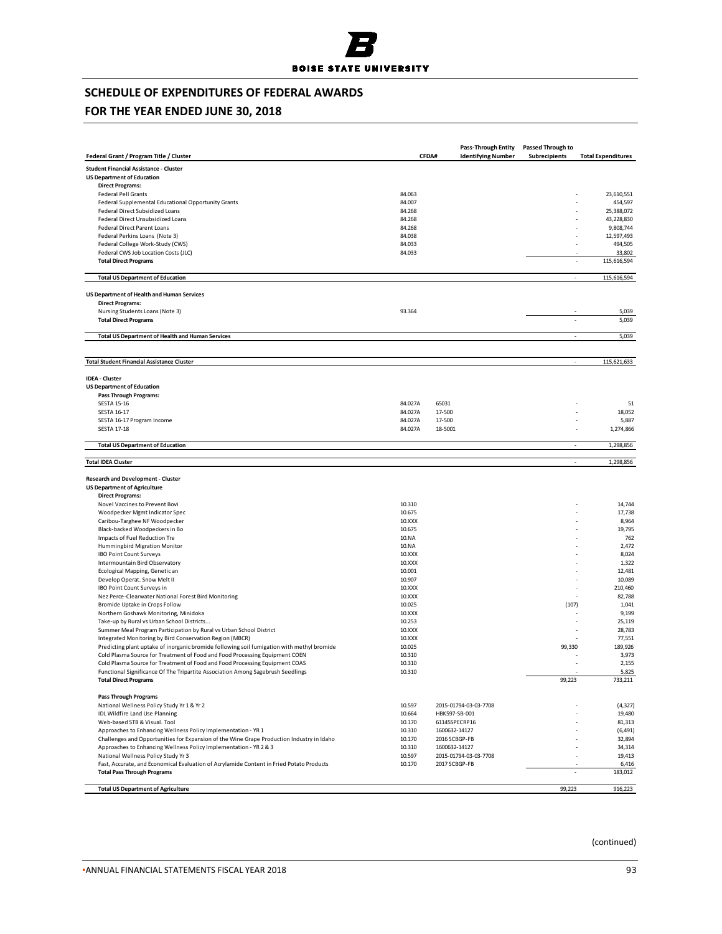

## **FOR THE YEAR ENDED JUNE 30, 2018**

|                                                                                                                                                                           |                    |                   | <b>Pass-Through Entity</b> | <b>Passed Through to</b> |                           |
|---------------------------------------------------------------------------------------------------------------------------------------------------------------------------|--------------------|-------------------|----------------------------|--------------------------|---------------------------|
| Federal Grant / Program Title / Cluster                                                                                                                                   |                    | CFDA#             | <b>Identifying Number</b>  | Subrecipients            | <b>Total Expenditures</b> |
| <b>Student Financial Assistance - Cluster</b>                                                                                                                             |                    |                   |                            |                          |                           |
| <b>US Department of Education</b>                                                                                                                                         |                    |                   |                            |                          |                           |
| <b>Direct Programs:</b>                                                                                                                                                   |                    |                   |                            |                          |                           |
| Federal Pell Grants                                                                                                                                                       | 84.063             |                   |                            |                          | 23,610,551                |
| Federal Supplemental Educational Opportunity Grants                                                                                                                       | 84.007             |                   |                            |                          | 454,597                   |
| Federal Direct Subsidized Loans                                                                                                                                           | 84.268             |                   |                            |                          | 25,388,072                |
| Federal Direct Unsubsidized Loans                                                                                                                                         | 84.268             |                   |                            |                          | 43,228,830                |
| Federal Direct Parent Loans                                                                                                                                               | 84.268             |                   |                            |                          | 9,808,744<br>12,597,493   |
| Federal Perkins Loans (Note 3)<br>Federal College Work-Study (CWS)                                                                                                        | 84.038<br>84.033   |                   |                            |                          | 494,505                   |
| Federal CWS Job Location Costs (JLC)                                                                                                                                      | 84.033             |                   |                            |                          | 33,802                    |
| <b>Total Direct Programs</b>                                                                                                                                              |                    |                   |                            |                          | 115,616,594               |
| <b>Total US Department of Education</b>                                                                                                                                   |                    |                   |                            | $\overline{\phantom{a}}$ | 115,616,594               |
|                                                                                                                                                                           |                    |                   |                            |                          |                           |
| US Department of Health and Human Services                                                                                                                                |                    |                   |                            |                          |                           |
| <b>Direct Programs:</b>                                                                                                                                                   |                    |                   |                            |                          |                           |
| Nursing Students Loans (Note 3)<br><b>Total Direct Programs</b>                                                                                                           | 93.364             |                   |                            |                          | 5,039<br>5,039            |
|                                                                                                                                                                           |                    |                   |                            |                          |                           |
| <b>Total US Department of Health and Human Services</b>                                                                                                                   |                    |                   |                            | L,                       | 5,039                     |
|                                                                                                                                                                           |                    |                   |                            |                          |                           |
| <b>Total Student Financial Assistance Cluster</b>                                                                                                                         |                    |                   |                            |                          | 115,621,633               |
| <b>IDEA - Cluster</b>                                                                                                                                                     |                    |                   |                            |                          |                           |
| <b>US Department of Education</b>                                                                                                                                         |                    |                   |                            |                          |                           |
| <b>Pass Through Programs:</b>                                                                                                                                             |                    |                   |                            |                          |                           |
| <b>SESTA 15-16</b>                                                                                                                                                        | 84.027A            | 65031             |                            |                          | 51                        |
| <b>SESTA 16-17</b>                                                                                                                                                        | 84.027A            | 17-500            |                            |                          | 18,052                    |
| SESTA 16-17 Program Income<br><b>SESTA 17-18</b>                                                                                                                          | 84.027A<br>84.027A | 17-500<br>18-5001 |                            |                          | 5,887<br>1,274,866        |
|                                                                                                                                                                           |                    |                   |                            |                          |                           |
| <b>Total US Department of Education</b>                                                                                                                                   |                    |                   |                            | ÷.                       | 1,298,856                 |
| <b>Total IDEA Cluster</b>                                                                                                                                                 |                    |                   |                            | ÷,                       | 1,298,856                 |
|                                                                                                                                                                           |                    |                   |                            |                          |                           |
| Research and Development - Cluster                                                                                                                                        |                    |                   |                            |                          |                           |
| <b>US Department of Agriculture</b>                                                                                                                                       |                    |                   |                            |                          |                           |
| <b>Direct Programs:</b><br>Novel Vaccines to Prevent Bovi                                                                                                                 | 10.310             |                   |                            |                          | 14,744                    |
| Woodpecker Mgmt Indicator Spec                                                                                                                                            | 10.675             |                   |                            |                          | 17,738                    |
| Caribou-Targhee NF Woodpecker                                                                                                                                             | 10.XXX             |                   |                            |                          | 8,964                     |
| Black-backed Woodpeckers in Bo                                                                                                                                            | 10.675             |                   |                            |                          | 19,795                    |
| Impacts of Fuel Reduction Tre                                                                                                                                             | 10.NA              |                   |                            |                          | 762                       |
| Hummingbird Migration Monitor                                                                                                                                             | 10.NA              |                   |                            |                          | 2,472                     |
| <b>IBO Point Count Surveys</b>                                                                                                                                            | 10.XXX             |                   |                            |                          | 8,024                     |
| Intermountain Bird Observatory                                                                                                                                            | 10.XXX             |                   |                            |                          | 1,322                     |
| Ecological Mapping, Genetic an                                                                                                                                            | 10.001             |                   |                            |                          | 12,481                    |
| Develop Operat. Snow Melt II                                                                                                                                              | 10.907             |                   |                            |                          | 10,089                    |
| IBO Point Count Surveys in                                                                                                                                                | 10.XXX             |                   |                            |                          | 210,460                   |
| Nez Perce-Clearwater National Forest Bird Monitoring                                                                                                                      | 10.XXX             |                   |                            |                          | 82,788                    |
| Bromide Uptake in Crops Follow                                                                                                                                            | 10.025             |                   |                            | (107)                    | 1,041                     |
| Northern Goshawk Monitoring, Minidoka                                                                                                                                     | 10.XXX             |                   |                            |                          | 9,199                     |
| Take-up by Rural vs Urban School Districts                                                                                                                                | 10.253             |                   |                            |                          | 25,119                    |
| Summer Meal Program Participation by Rural vs Urban School District                                                                                                       | 10.XXX             |                   |                            |                          | 28,783                    |
| Integrated Monitoring by Bird Conservation Region (MBCR)                                                                                                                  | 10.XXX             |                   |                            |                          | 77,551                    |
| Predicting plant uptake of inorganic bromide following soil fumigation with methyl bromide<br>Cold Plasma Source for Treatment of Food and Food Processing Equipment COEN | 10.025<br>10.310   |                   |                            | 99,330                   | 189,926<br>3,973          |
| Cold Plasma Source for Treatment of Food and Food Processing Equipment COAS                                                                                               | 10.310             |                   |                            |                          | 2,155                     |
| Functional Significance Of The Tripartite Association Among Sagebrush Seedlings                                                                                           | 10.310             |                   |                            |                          | 5,825                     |
| <b>Total Direct Programs</b>                                                                                                                                              |                    |                   |                            | 99,223                   | 733,211                   |
| <b>Pass Through Programs</b>                                                                                                                                              |                    |                   |                            |                          |                           |
| National Wellness Policy Study Yr 1 & Yr 2                                                                                                                                | 10.597             |                   | 2015-01794-03-03-7708      |                          | (4, 327)                  |
| <b>IDL Wildfire Land Use Planning</b>                                                                                                                                     | 10.664             | HBK597-SB-001     |                            |                          | 19,480                    |
| Web-based STB & Visual. Tool                                                                                                                                              | 10.170             | 61145SPECRP16     |                            |                          | 81,313                    |
| Approaches to Enhancing Wellness Policy Implementation - YR 1                                                                                                             | 10.310             | 1600632-14127     |                            |                          | (6, 491)                  |
| Challenges and Opportunities for Expansion of the Wine Grape Production Industry in Idaho                                                                                 | 10.170             | 2016 SCBGP-FB     |                            |                          | 32,894                    |
| Approaches to Enhancing Wellness Policy Implementation - YR 2 & 3                                                                                                         | 10.310             | 1600632-14127     |                            |                          | 34,314                    |
| National Wellness Policy Study Yr 3                                                                                                                                       | 10.597             |                   | 2015-01794-03-03-7708      |                          | 19,413                    |
| Fast, Accurate, and Economical Evaluation of Acrylamide Content in Fried Potato Products                                                                                  | 10.170             | 2017 SCBGP-FB     |                            |                          | 6,416                     |
| <b>Total Pass Through Programs</b>                                                                                                                                        |                    |                   |                            |                          | 183,012                   |
| <b>Total US Department of Agriculture</b>                                                                                                                                 |                    |                   |                            | 99,223                   | 916,223                   |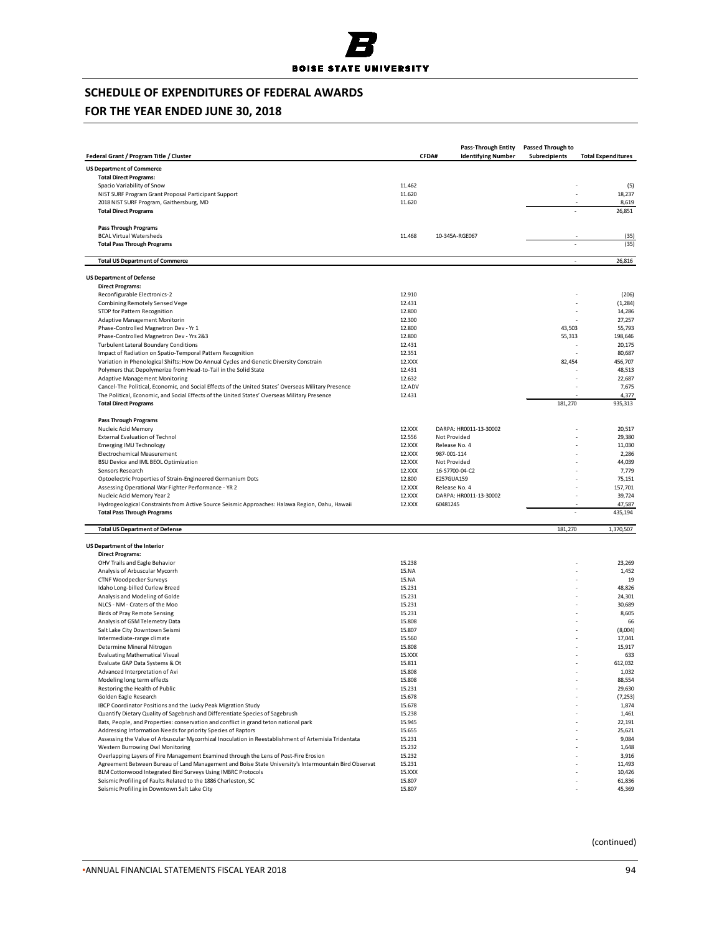## **FOR THE YEAR ENDED JUNE 30, 2018**

|                                                                                                                                                                                              |                  | <b>Pass-Through Entity</b> | <b>Passed Through to</b> |                           |
|----------------------------------------------------------------------------------------------------------------------------------------------------------------------------------------------|------------------|----------------------------|--------------------------|---------------------------|
| Federal Grant / Program Title / Cluster                                                                                                                                                      | CFDA#            |                            | Subrecipients            | <b>Total Expenditures</b> |
| <b>US Department of Commerce</b>                                                                                                                                                             |                  |                            |                          |                           |
| <b>Total Direct Programs:</b>                                                                                                                                                                |                  |                            |                          |                           |
| Spacio Variability of Snow                                                                                                                                                                   | 11.462           |                            |                          | (5)                       |
| NIST SURF Program Grant Proposal Participant Support                                                                                                                                         | 11.620           |                            |                          | 18,237                    |
| 2018 NIST SURF Program, Gaithersburg, MD                                                                                                                                                     | 11.620           |                            |                          | 8,619                     |
| <b>Total Direct Programs</b>                                                                                                                                                                 |                  |                            |                          | 26,851                    |
| <b>Pass Through Programs</b>                                                                                                                                                                 | 11.468           |                            |                          |                           |
| <b>BCAL Virtual Watersheds</b><br><b>Total Pass Through Programs</b>                                                                                                                         |                  | 10-345A-RGE067             |                          | (35)<br>(35)              |
| <b>Total US Department of Commerce</b>                                                                                                                                                       |                  |                            | ÷,                       | 26,816                    |
| <b>US Department of Defense</b>                                                                                                                                                              |                  |                            |                          |                           |
| <b>Direct Programs:</b>                                                                                                                                                                      |                  |                            |                          |                           |
| Reconfigurable Electronics-2                                                                                                                                                                 | 12.910           |                            |                          | (206)                     |
| Combining Remotely Sensed Vege                                                                                                                                                               | 12.431           |                            |                          | (1, 284)                  |
| STDP for Pattern Recognition                                                                                                                                                                 | 12.800           |                            |                          | 14,286                    |
| Adaptive Management Monitorin                                                                                                                                                                | 12.300           |                            |                          | 27,257                    |
| Phase-Controlled Magnetron Dev - Yr 1                                                                                                                                                        | 12.800<br>12.800 |                            | 43,503                   | 55,793                    |
| Phase-Controlled Magnetron Dev - Yrs 2&3<br><b>Turbulent Lateral Boundary Conditions</b>                                                                                                     | 12.431           |                            | 55,313                   | 198,646<br>20,175         |
| Impact of Radiation on Spatio-Temporal Pattern Recognition                                                                                                                                   | 12.351           |                            |                          | 80,687                    |
| Variation in Phenological Shifts: How Do Annual Cycles and Genetic Diversity Constrain                                                                                                       | 12.XXX           |                            | 82,454                   | 456,707                   |
| Polymers that Depolymerize from Head-to-Tail in the Solid State                                                                                                                              | 12.431           |                            |                          | 48,513                    |
| <b>Adaptive Management Monitoring</b>                                                                                                                                                        | 12.632           |                            |                          | 22,687                    |
| Cancel-The Political, Economic, and Social Effects of the United States' Overseas Military Presence                                                                                          | 12.ADV           |                            |                          | 7,675                     |
| The Political, Economic, and Social Effects of the United States' Overseas Military Presence                                                                                                 | 12.431           |                            |                          | 4,377                     |
| <b>Total Direct Programs</b>                                                                                                                                                                 |                  |                            | 181,270                  | 935,313                   |
| <b>Pass Through Programs</b>                                                                                                                                                                 |                  |                            |                          |                           |
| Nucleic Acid Memory                                                                                                                                                                          | 12.XXX           | DARPA: HR0011-13-30002     |                          | 20,517                    |
| External Evaluation of Technol                                                                                                                                                               | 12.556           | Not Provided               |                          | 29,380                    |
| Emerging IMU Technology                                                                                                                                                                      | 12.XXX           | Release No. 4              |                          | 11,030                    |
| Electrochemical Measurement                                                                                                                                                                  | 12.XXX           | 987-001-114                |                          | 2,286                     |
| BSU Device and IML BEOL Optimization                                                                                                                                                         | 12.XXX           | Not Provided               |                          | 44,039                    |
| Sensors Research                                                                                                                                                                             | 12.XXX           | 16-S7700-04-C2             |                          | 7,779                     |
| Optoelectric Properties of Strain-Engineered Germanium Dots                                                                                                                                  | 12.800           | E257GUA159                 |                          | 75,151                    |
| Assessing Operational War Fighter Performance - YR 2                                                                                                                                         | 12.XXX           | Release No. 4              |                          | 157,701                   |
| Nucleic Acid Memory Year 2                                                                                                                                                                   | 12.XXX           | DARPA: HR0011-13-30002     |                          | 39,724                    |
| Hydrogeological Constraints from Active Source Seismic Approaches: Halawa Region, Oahu, Hawaii<br><b>Total Pass Through Programs</b>                                                         | 12.XXX           | 60481245                   |                          | 47,587<br>435,194         |
|                                                                                                                                                                                              |                  |                            |                          |                           |
| <b>Total US Department of Defense</b>                                                                                                                                                        |                  |                            | 181,270                  | 1,370,507                 |
| <b>US Department of the Interior</b>                                                                                                                                                         |                  |                            |                          |                           |
| <b>Direct Programs:</b>                                                                                                                                                                      |                  |                            |                          |                           |
| OHV Trails and Eagle Behavior                                                                                                                                                                | 15.238           |                            |                          | 23,269                    |
| Analysis of Arbuscular Mycorrh                                                                                                                                                               | 15.NA            |                            |                          | 1,452                     |
| <b>CTNF Woodpecker Surveys</b>                                                                                                                                                               | 15.NA            |                            |                          | 19                        |
| Idaho Long-billed Curlew Breed<br>Analysis and Modeling of Golde                                                                                                                             | 15.231<br>15.231 |                            |                          | 48,826<br>24,301          |
| NLCS - NM - Craters of the Moo                                                                                                                                                               | 15.231           |                            |                          | 30,689                    |
| Birds of Pray Remote Sensing                                                                                                                                                                 | 15.231           |                            |                          | 8,605                     |
| Analysis of GSM Telemetry Data                                                                                                                                                               | 15.808           |                            |                          | 66                        |
| Salt Lake City Downtown Seismi                                                                                                                                                               | 15.807           |                            |                          | (8,004)                   |
| Intermediate-range climate                                                                                                                                                                   | 15.560           |                            |                          | 17,041                    |
| Determine Mineral Nitrogen                                                                                                                                                                   | 15.808           |                            |                          | 15,917                    |
| <b>Evaluating Mathematical Visual</b>                                                                                                                                                        | 15.XXX           |                            |                          | 633                       |
| Evaluate GAP Data Systems & Ot                                                                                                                                                               | 15.811           |                            |                          | 612,032                   |
| Advanced Interpretation of Avi                                                                                                                                                               | 15.808           |                            |                          | 1,032                     |
| Modeling long term effects                                                                                                                                                                   | 15.808           |                            |                          | 88,554                    |
| Restoring the Health of Public                                                                                                                                                               | 15.231           |                            |                          | 29,630                    |
| Golden Eagle Research                                                                                                                                                                        | 15.678           |                            |                          | (7, 253)                  |
| IBCP Coordinator Positions and the Lucky Peak Migration Study                                                                                                                                | 15.678           |                            |                          | 1,874                     |
| Quantify Dietary Quality of Sagebrush and Differentiate Species of Sagebrush                                                                                                                 | 15.238           |                            |                          | 1,461                     |
| Bats, People, and Properties: conservation and conflict in grand teton national park                                                                                                         | 15.945           |                            |                          | 22,191                    |
| Addressing Information Needs for priority Species of Raptors                                                                                                                                 | 15.655           |                            |                          | 25,621                    |
| Assessing the Value of Arbuscular Mycorrhizal Inoculation in Reestablishment of Artemisia Tridentata                                                                                         | 15.231           |                            |                          | 9,084                     |
| Western Burrowing Owl Monitoring                                                                                                                                                             | 15.232           |                            |                          | 1,648                     |
| Overlapping Layers of Fire Management Examined through the Lens of Post-Fire Erosion<br>Agreement Between Bureau of Land Management and Boise State University's Intermountain Bird Observat | 15.232<br>15.231 |                            |                          | 3,916<br>11,493           |
| BLM Cottonwood Integrated Bird Surveys Using IMBRC Protocols                                                                                                                                 | 15.XXX           |                            |                          | 10,426                    |
| Seismic Profiling of Faults Related to the 1886 Charleston, SC                                                                                                                               | 15.807           |                            |                          | 61,836                    |
| Seismic Profiling in Downtown Salt Lake City                                                                                                                                                 | 15.807           |                            |                          | 45,369                    |
|                                                                                                                                                                                              |                  |                            |                          |                           |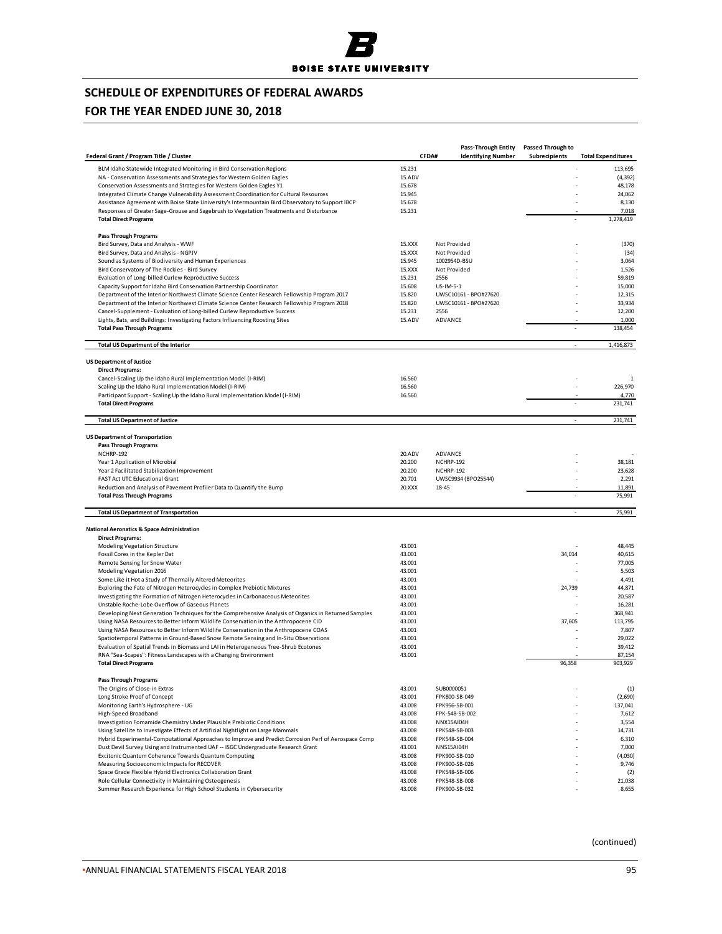## **FOR THE YEAR ENDED JUNE 30, 2018**

|                                                                                                                                                              |                  | <b>Pass-Through Entity</b>         | Passed Through to |                           |
|--------------------------------------------------------------------------------------------------------------------------------------------------------------|------------------|------------------------------------|-------------------|---------------------------|
| Federal Grant / Program Title / Cluster                                                                                                                      |                  | CFDA#<br><b>Identifying Number</b> | Subrecipients     | <b>Total Expenditures</b> |
| BLM Idaho Statewide Integrated Monitoring in Bird Conservation Regions                                                                                       | 15.231           |                                    |                   | 113,695                   |
| NA - Conservation Assessments and Strategies for Western Golden Eagles                                                                                       | 15.ADV           |                                    |                   | (4, 392)                  |
| Conservation Assessments and Strategies for Western Golden Eagles Y1                                                                                         | 15.678           |                                    |                   | 48,178                    |
| Integrated Climate Change Vulnerability Assessment Coordination for Cultural Resources                                                                       | 15.945           |                                    |                   | 24,062                    |
| Assistance Agreement with Boise State University's Intermountain Bird Observatory to Support IBCP                                                            | 15.678           |                                    |                   | 8,130                     |
| Responses of Greater Sage-Grouse and Sagebrush to Vegetation Treatments and Disturbance<br><b>Total Direct Programs</b>                                      | 15.231           |                                    |                   | 7,018<br>1,278,419        |
|                                                                                                                                                              |                  |                                    |                   |                           |
| <b>Pass Through Programs</b>                                                                                                                                 | 15.XXX           | Not Provided                       |                   |                           |
| Bird Survey, Data and Analysis - WWF<br>Bird Survey, Data and Analysis - NGPJV                                                                               | 15.XXX           | Not Provided                       |                   | (370)<br>(34)             |
| Sound as Systems of Biodiversity and Human Experiences                                                                                                       | 15.945           | 1002954D-BSU                       |                   | 3,064                     |
| Bird Conservatory of The Rockies - Bird Survey                                                                                                               | 15.XXX           | Not Provided                       |                   | 1,526                     |
| Evaluation of Long-billed Curlew Reproductive Success                                                                                                        | 15.231           | 2556                               |                   | 59,819                    |
| Capacity Support for Idaho Bird Conservation Partnership Coordinator                                                                                         | 15.608           | US-IM-5-1                          |                   | 15,000                    |
| Department of the Interior Northwest Climate Science Center Research Fellowship Program 2017                                                                 | 15.820           | UWSC10161 - BPO#27620              |                   | 12,315                    |
| Department of the Interior Northwest Climate Science Center Research Fellowship Program 2018                                                                 | 15.820           | UWSC10161 - BPO#27620              |                   | 33,934                    |
| Cancel-Supplement - Evaluation of Long-billed Curlew Reproductive Success                                                                                    | 15.231           | 2556                               |                   | 12,200<br>÷               |
| Lights, Bats, and Buildings: Investigating Factors Influencing Roosting Sites<br><b>Total Pass Through Programs</b>                                          | 15.ADV           | ADVANCE                            | ÷,                | 1,000<br>138,454          |
| <b>Total US Department of the Interior</b>                                                                                                                   |                  |                                    |                   | 1,416,873                 |
|                                                                                                                                                              |                  |                                    |                   |                           |
| <b>US Department of Justice</b><br><b>Direct Programs:</b>                                                                                                   |                  |                                    |                   |                           |
| Cancel-Scaling Up the Idaho Rural Implementation Model (I-RIM)                                                                                               | 16.560           |                                    |                   | 1                         |
| Scaling Up the Idaho Rural Implementation Model (I-RIM)                                                                                                      | 16.560           |                                    |                   | 226,970                   |
| Participant Support - Scaling Up the Idaho Rural Implementation Model (I-RIM)                                                                                | 16.560           |                                    |                   | 4,770                     |
| <b>Total Direct Programs</b>                                                                                                                                 |                  |                                    |                   | 231,741                   |
| <b>Total US Department of Justice</b>                                                                                                                        |                  |                                    | $\sim$            | 231,741                   |
| <b>US Department of Transportation</b>                                                                                                                       |                  |                                    |                   |                           |
| <b>Pass Through Programs</b>                                                                                                                                 |                  |                                    |                   |                           |
| NCHRP-192                                                                                                                                                    | 20.ADV           | ADVANCE                            |                   |                           |
| Year 1 Application of Microbial                                                                                                                              | 20.200           | NCHRP-192                          |                   | 38,181                    |
| Year 2 Facilitated Stabilization Improvement                                                                                                                 | 20.200           | NCHRP-192                          |                   | 23,628                    |
| <b>FAST Act UTC Educational Grant</b>                                                                                                                        | 20.701           | UWSC9934 (BPO25544)                |                   | 2,291                     |
| Reduction and Analysis of Pavement Profiler Data to Quantify the Bump<br><b>Total Pass Through Programs</b>                                                  | 20.XXX           | 18-45                              |                   | 11,891<br>75,991          |
| <b>Total US Department of Transportation</b>                                                                                                                 |                  |                                    | ÷,                | 75,991                    |
|                                                                                                                                                              |                  |                                    |                   |                           |
| <b>National Aeronatics &amp; Space Administration</b><br><b>Direct Programs:</b>                                                                             |                  |                                    |                   |                           |
| Modeling Vegetation Structure                                                                                                                                | 43.001           |                                    |                   | 48,445                    |
| Fossil Cores in the Kepler Dat                                                                                                                               | 43.001           |                                    | 34,014            | 40,615                    |
| Remote Sensing for Snow Water                                                                                                                                | 43.001           |                                    |                   | 77,005                    |
| Modeling Vegetation 2016                                                                                                                                     | 43.001           |                                    |                   | 5,503                     |
| Some Like it Hot a Study of Thermally Altered Meteorites                                                                                                     | 43.001           |                                    |                   | 4,491                     |
| Exploring the Fate of Nitrogen Heterocycles in Complex Prebiotic Mixtures<br>Investigating the Formation of Nitrogen Heterocycles in Carbonaceous Meteorites | 43.001<br>43.001 |                                    | 24,739            | 44,871<br>20,587          |
| Unstable Roche-Lobe Overflow of Gaseous Planets                                                                                                              | 43.001           |                                    |                   | 16,281                    |
| Developing Next Generation Techniques for the Comprehensive Analysis of Organics in Returned Samples                                                         | 43.001           |                                    |                   | 368,941                   |
| Using NASA Resources to Better Inform Wildlife Conservation in the Anthropocene CID                                                                          | 43.001           |                                    | 37,605            | 113,795                   |
| Using NASA Resources to Better Inform Wildlife Conservation in the Anthropocene COAS                                                                         | 43.001           |                                    |                   | 7,807                     |
| Spatiotemporal Patterns in Ground-Based Snow Remote Sensing and In-Situ Observations                                                                         | 43.001           |                                    |                   | 29,022                    |
| Evaluation of Spatial Trends in Biomass and LAI in Heterogeneous Tree-Shrub Ecotones                                                                         | 43.001           |                                    |                   | 39,412                    |
| RNA "Sea-Scapes": Fitness Landscapes with a Changing Environment<br><b>Total Direct Programs</b>                                                             | 43.001           |                                    | 96,358            | 87,154<br>903,929         |
|                                                                                                                                                              |                  |                                    |                   |                           |
| <b>Pass Through Programs</b><br>The Origins of Close-in Extras                                                                                               | 43.001           | SUB0000051                         |                   | (1)                       |
| Long Stroke Proof of Concept                                                                                                                                 | 43.001           | FPK800-SB-049                      |                   | (2,690)                   |
| Monitoring Earth's Hydrosphere - UG                                                                                                                          | 43.008           | FPK956-SB-001                      |                   | 137,041                   |
| High-Speed Broadband                                                                                                                                         | 43.008           | FPK-548-SB-002                     |                   | 7,612                     |
| Investigation Fomamide Chemistry Under Plausible Prebiotic Conditions                                                                                        | 43.008           | NNX15AI04H                         |                   | 3,554                     |
| Using Satellite to Investigate Effects of Artificial Nightlight on Large Mammals                                                                             | 43.008           | FPK548-SB-003                      |                   | 14,731                    |
| Hybrid Experimental-Computational Approaches to Improve and Predict Corrosion Perf of Aerospace Comp                                                         | 43.008           | FPK548-SB-004                      |                   | 6,310                     |
| Dust Devil Survey Using and Instrumented UAF -- ISGC Undergraduate Research Grant                                                                            | 43.001           | NNS15AI04H                         |                   | 7,000                     |
| Excitonic Quantum Coherence Towards Quantum Computing<br>Measuring Socioeconomic Impacts for RECOVER                                                         | 43.008<br>43.008 | FPK900-SB-010<br>FPK900-SB-026     |                   | (4,030)<br>9,746          |
| Space Grade Flexible Hybrid Electronics Collaboration Grant                                                                                                  | 43.008           | FPK548-SB-006                      |                   | (2)                       |
| Role Cellular Connectivity in Maintaining Osteogenesis                                                                                                       | 43.008           | FPK548-SB-008                      |                   | 21,038                    |
| Summer Research Experience for High School Students in Cybersecurity                                                                                         | 43.008           | FPK900-SB-032                      |                   | 8,655                     |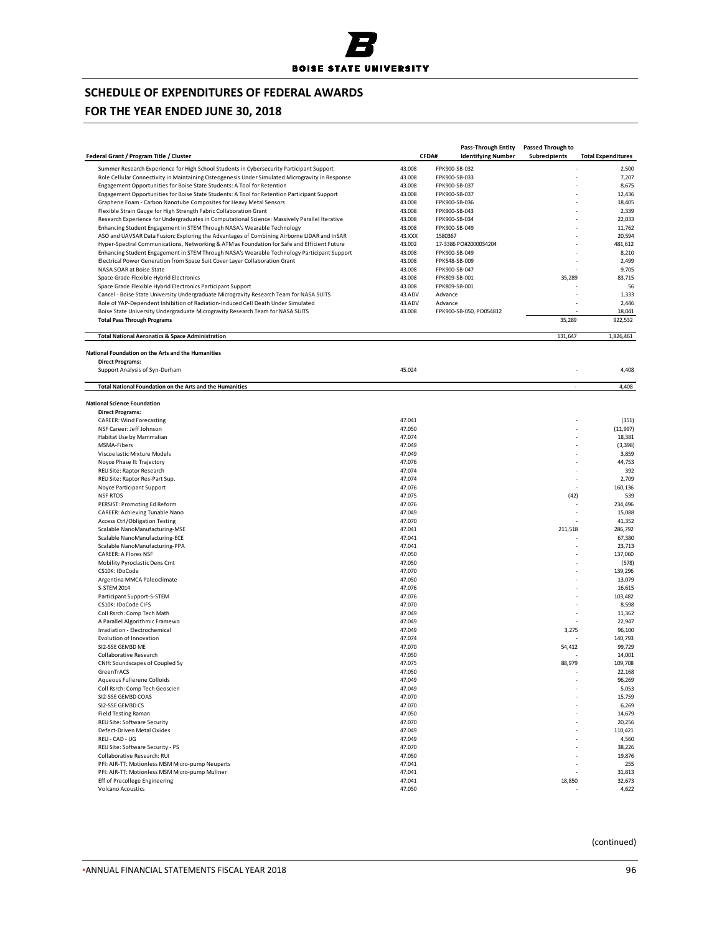## **FOR THE YEAR ENDED JUNE 30, 2018**

|                                                                                                                                                                       |                  | Pass-Through Entity       | <b>Passed Through to</b> |                           |
|-----------------------------------------------------------------------------------------------------------------------------------------------------------------------|------------------|---------------------------|--------------------------|---------------------------|
| Federal Grant / Program Title / Cluster                                                                                                                               | CFDA#            | <b>Identifying Number</b> | Subrecipients            | <b>Total Expenditures</b> |
| Summer Research Experience for High School Students in Cybersecurity Participant Support                                                                              | 43.008           | FPK900-SB-032             |                          | 2,500                     |
| Role Cellular Connectivity in Maintaining Osteogenesis Under Simulated Microgravity in Response                                                                       | 43.008           | FPK900-SB-033             |                          | 7,207                     |
| Engagement Opportunities for Boise State Students: A Tool for Retention                                                                                               | 43.008           | FPK900-SB-037             |                          | 8,675                     |
| Engagement Opportunities for Boise State Students: A Tool for Retention Participant Support                                                                           | 43.008           | FPK900-SB-037             |                          | 12,436                    |
| Graphene Foam - Carbon Nanotube Composites for Heavy Metal Sensors                                                                                                    | 43.008           | FPK900-SB-036             |                          | 18,405                    |
| Flexible Strain Gauge for High Strength Fabric Collaboration Grant                                                                                                    | 43.008           | FPK900-SB-043             |                          | 2,339                     |
| Research Experience for Undergraduates in Computational Science: Massively Parallel Iterative                                                                         | 43.008           | FPK900-SB-034             |                          | 22,033                    |
| Enhancing Student Engagement in STEM Through NASA's Wearable Technology<br>ASO and UAVSAR Data Fusion: Exploring the Advantages of Combining Airborne LIDAR and InSAR | 43.008<br>43.XXX | FPK900-SB-049<br>1580367  |                          | 11,762<br>20,594          |
| Hyper-Spectral Communications, Networking & ATM as Foundation for Safe and Efficient Future                                                                           | 43.002           | 17-3386 PO#2000034204     |                          | 481,612                   |
| Enhancing Student Engagement in STEM Through NASA's Wearable Technology Participant Support                                                                           | 43.008           | FPK900-SB-049             |                          | 8,210                     |
| Electrical Power Generation from Space Suit Cover Layer Collaboration Grant                                                                                           | 43.008           | FPK548-SB-009             |                          | 2,499                     |
| NASA SOAR at Boise State                                                                                                                                              | 43.008           | FPK900-SB-047             |                          | 9,705                     |
| Space Grade Flexible Hybrid Electronics                                                                                                                               | 43.008           | FPK809-SB-001             | 35,289                   | 83,715                    |
| Space Grade Flexible Hybrid Electronics Participant Support                                                                                                           | 43.008           | FPK809-SB-001             |                          | 56                        |
| Cancel - Boise State University Undergraduate Microgravity Research Team for NASA SUITS                                                                               | 43.ADV           | Advance                   |                          | 1,333                     |
| Role of YAP-Dependent Inhibition of Radiation-Induced Cell Death Under Simulated                                                                                      | 43.ADV           | Advance                   |                          | 2,446                     |
| Boise State University Undergraduate Microgravity Research Team for NASA SUITS                                                                                        | 43.008           | FPK900-SB-050, PO054812   |                          | 18,041                    |
| <b>Total Pass Through Programs</b>                                                                                                                                    |                  |                           | 35,289                   | 922,532                   |
| <b>Total National Aeronatics &amp; Space Administration</b>                                                                                                           |                  |                           | 131,647                  | 1,826,461                 |
|                                                                                                                                                                       |                  |                           |                          |                           |
| National Foundation on the Arts and the Humanities<br><b>Direct Programs:</b>                                                                                         |                  |                           |                          |                           |
| Support Analysis of Syn-Durham                                                                                                                                        | 45.024           |                           |                          | 4,408                     |
| Total National Foundation on the Arts and the Humanities                                                                                                              |                  |                           | ÷,                       | 4,408                     |
| <b>National Science Foundation</b>                                                                                                                                    |                  |                           |                          |                           |
| <b>Direct Programs:</b>                                                                                                                                               |                  |                           |                          |                           |
| <b>CAREER: Wind Forecasting</b>                                                                                                                                       | 47.041           |                           |                          | (351)                     |
| NSF Career: Jeff Johnson                                                                                                                                              | 47.050           |                           |                          | (11, 997)                 |
| Habitat Use by Mammalian                                                                                                                                              | 47.074           |                           |                          | 18,381                    |
| MSMA-Fibers                                                                                                                                                           | 47.049           |                           |                          | (3, 398)                  |
| Viscoelastic Mixture Models                                                                                                                                           | 47.049           |                           |                          | 3,859                     |
| Noyce Phase II: Trajectory                                                                                                                                            | 47.076           |                           |                          | 44,753                    |
| REU Site: Raptor Research                                                                                                                                             | 47.074           |                           | ż                        | 392                       |
| REU Site: Raptor Res-Part Sup.                                                                                                                                        | 47.074           |                           | ä,                       | 2,709<br>160,136          |
| Noyce Participant Support<br><b>NSF RTOS</b>                                                                                                                          | 47.076<br>47.075 |                           | (42)                     | 539                       |
| PERSIST: Promoting Ed Reform                                                                                                                                          | 47.076           |                           |                          | 234,496                   |
| CAREER: Achieving Tunable Nano                                                                                                                                        | 47.049           |                           |                          | 15,088                    |
| <b>Access Ctrl/Obligation Testing</b>                                                                                                                                 | 47.070           |                           |                          | 41,352                    |
| Scalable NanoManufacturing-MSE                                                                                                                                        | 47.041           |                           | 211,518                  | 286,792                   |
| Scalable NanoManufacturing-ECE                                                                                                                                        | 47.041           |                           |                          | 67,380                    |
| Scalable NanoManufacturing-PPA                                                                                                                                        | 47.041           |                           |                          | 23,713                    |
| <b>CAREER: A Flores NSF</b>                                                                                                                                           | 47.050           |                           |                          | 137,060                   |
| Mobility Pyroclastic Dens Cmt                                                                                                                                         | 47.050           |                           |                          | (578)                     |
| CS10K: IDoCode                                                                                                                                                        | 47.070           |                           |                          | 139,296                   |
| Argentina MMCA Paleoclimate                                                                                                                                           | 47.050           |                           |                          | 13,079                    |
| S-STEM 2014                                                                                                                                                           | 47.076           |                           |                          | 16,615                    |
| Participant Support-S-STEM                                                                                                                                            | 47.076           |                           |                          | 103,482                   |
| CS10K: IDoCode CIFS<br>Coll Rsrch: Comp Tech Math                                                                                                                     | 47.070<br>47.049 |                           |                          | 8,598<br>11,362           |
| A Parallel Algorithmic Framewo                                                                                                                                        | 47.049           |                           |                          | 22,947                    |
| Irradiation - Electrochemical                                                                                                                                         | 47.049           |                           | 3,275                    | 96,100                    |
| Evolution of Innovation                                                                                                                                               | 47.074           |                           |                          | 140,793                   |
| SI2-SSE GEM3D ME                                                                                                                                                      | 47.070           |                           | 54,412                   | 99,729                    |
| Collaborative Research                                                                                                                                                | 47.050           |                           |                          | 14,001                    |
| CNH: Soundscapes of Coupled Sy                                                                                                                                        | 47.075           |                           | 88,979                   | 109,708                   |
| GreenTrACS                                                                                                                                                            | 47.050           |                           |                          | 22,168                    |
| Aqueous Fullerene Colloids                                                                                                                                            | 47.049           |                           |                          | 96,269                    |
| Coll Rsrch: Comp Tech Geoscien                                                                                                                                        | 47.049           |                           |                          | 5,053                     |
| SI2-SSE GEM3D COAS                                                                                                                                                    | 47.070           |                           |                          | 15,759                    |
| SI2-SSE GEM3D CS                                                                                                                                                      | 47.070           |                           |                          | 6,269                     |
| <b>Field Testing Raman</b>                                                                                                                                            | 47.050           |                           |                          | 14,679                    |
| REU Site: Software Security<br>Defect-Driven Metal Oxides                                                                                                             | 47.070<br>47.049 |                           |                          | 20,256<br>110,421         |
| REU - CAD - UG                                                                                                                                                        | 47.049           |                           |                          | 4,560                     |
| REU Site: Software Security - PS                                                                                                                                      | 47.070           |                           |                          | 38,226                    |
| Collaborative Research: RUI                                                                                                                                           | 47.050           |                           |                          | 19,876                    |
| PFI: AIR-TT: Motionless MSM Micro-pump Neuperts                                                                                                                       | 47.041           |                           |                          | 255                       |
| PFI: AIR-TT: Motionless MSM Micro-pump Mullner                                                                                                                        | 47.041           |                           |                          | 31,813                    |
| Eff of Precollege Engineering                                                                                                                                         | 47.041           |                           | 18,850                   | 32,673                    |
| <b>Volcano Acoustics</b>                                                                                                                                              | 47.050           |                           |                          | 4,622                     |
|                                                                                                                                                                       |                  |                           |                          |                           |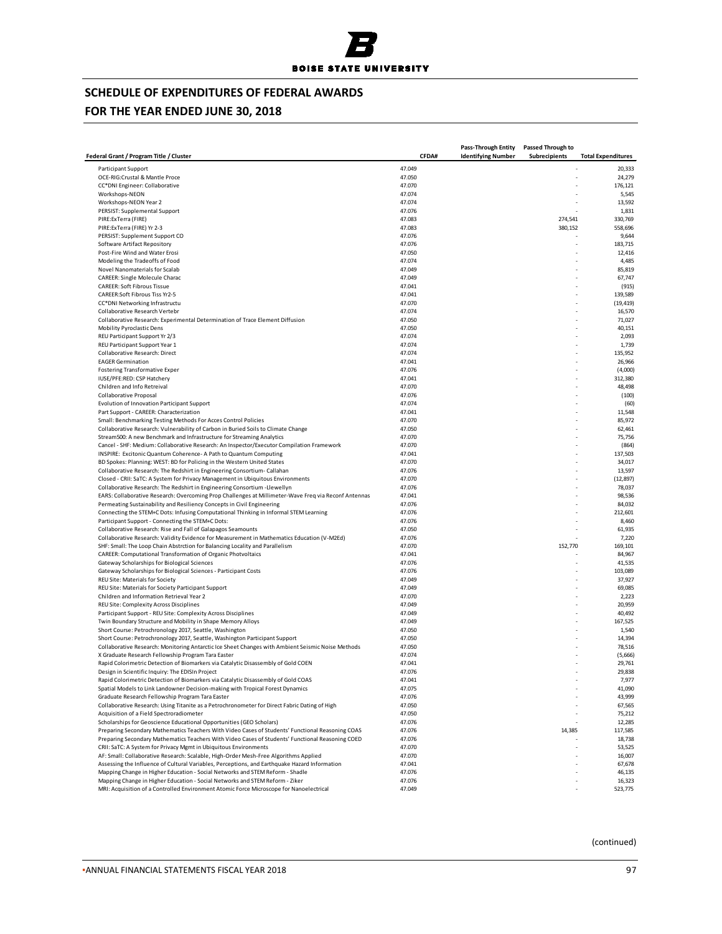

# **FOR THE YEAR ENDED JUNE 30, 2018**

| Federal Grant / Program Title / Cluster                                                                                                                            | CFDA#            | Pass-Through Entity<br><b>Identifying Number</b> | Passed Through to<br>Subrecipients | <b>Total Expenditures</b> |
|--------------------------------------------------------------------------------------------------------------------------------------------------------------------|------------------|--------------------------------------------------|------------------------------------|---------------------------|
|                                                                                                                                                                    | 47.049           |                                                  |                                    |                           |
| Participant Support<br>OCE-RIG: Crustal & Mantle Proce                                                                                                             | 47.050           |                                                  |                                    | 20,333<br>24,279          |
| CC*DNI Engineer: Collaborative                                                                                                                                     | 47.070           |                                                  |                                    | 176,121                   |
| Workshops-NEON                                                                                                                                                     | 47.074           |                                                  |                                    | 5,545                     |
| Workshops-NEON Year 2                                                                                                                                              | 47.074           |                                                  |                                    | 13,592                    |
| PERSIST: Supplemental Support                                                                                                                                      | 47.076           |                                                  |                                    | 1,831                     |
| PIRE: ExTerra (FIRE)                                                                                                                                               | 47.083           |                                                  | 274,541                            | 330,769                   |
| PIRE: Ex Terra (FIRE) Yr 2-3                                                                                                                                       | 47.083           |                                                  | 380,152                            | 558,696                   |
| PERSIST: Supplement Support CO                                                                                                                                     | 47.076           |                                                  |                                    | 9,644                     |
| Software Artifact Repository<br>Post-Fire Wind and Water Erosi                                                                                                     | 47.076<br>47.050 |                                                  | ÷.                                 | 183,715<br>12,416         |
| Modeling the Tradeoffs of Food                                                                                                                                     | 47.074           |                                                  |                                    | 4,485                     |
| Novel Nanomaterials for Scalab                                                                                                                                     | 47.049           |                                                  |                                    | 85,819                    |
| <b>CAREER: Single Molecule Charac</b>                                                                                                                              | 47.049           |                                                  |                                    | 67,747                    |
| <b>CAREER: Soft Fibrous Tissue</b>                                                                                                                                 | 47.041           |                                                  |                                    | (915)                     |
| CAREER:Soft Fibrous Tiss Yr2-5                                                                                                                                     | 47.041           |                                                  |                                    | 139,589                   |
| CC*DNI Networking Infrastructu                                                                                                                                     | 47.070           |                                                  |                                    | (19, 419)                 |
| Collaborative Research Vertebr                                                                                                                                     | 47.074           |                                                  |                                    | 16,570                    |
| Collaborative Research: Experimental Determination of Trace Element Diffusion                                                                                      | 47.050           |                                                  |                                    | 71,027                    |
| Mobility Pyroclastic Dens                                                                                                                                          | 47.050           |                                                  |                                    | 40,151                    |
| REU Participant Support Yr 2/3<br>REU Participant Support Year 1                                                                                                   | 47.074<br>47.074 |                                                  |                                    | 2,093<br>1,739            |
| Collaborative Research: Direct                                                                                                                                     | 47.074           |                                                  |                                    | 135,952                   |
| <b>EAGER Germination</b>                                                                                                                                           | 47.041           |                                                  |                                    | 26,966                    |
| <b>Fostering Transformative Exper</b>                                                                                                                              | 47.076           |                                                  |                                    | (4,000)                   |
| IUSE/PFE:RED: CSP Hatchery                                                                                                                                         | 47.041           |                                                  |                                    | 312,380                   |
| Children and Info Retreival                                                                                                                                        | 47.070           |                                                  |                                    | 48,498                    |
| Collaborative Proposal                                                                                                                                             | 47.076           |                                                  |                                    | (100)                     |
| Evolution of Innovation Participant Support                                                                                                                        | 47.074           |                                                  |                                    | (60)                      |
| Part Support - CAREER: Characterization                                                                                                                            | 47.041           |                                                  |                                    | 11,548                    |
| Small: Benchmarking Testing Methods For Acces Control Policies                                                                                                     | 47.070           |                                                  |                                    | 85,972                    |
| Collaborative Research: Vulnerability of Carbon in Buried Soils to Climate Change                                                                                  | 47.050<br>47.070 |                                                  |                                    | 62,461                    |
| Stream500: A new Benchmark and Infrastructure for Streaming Analytics<br>Cancel - SHF: Medium: Collaborative Research: An Inspector/Executor Compilation Framework | 47.070           |                                                  |                                    | 75,756<br>(864)           |
| INSPIRE: Excitonic Quantum Coherence- A Path to Quantum Computing                                                                                                  | 47.041           |                                                  |                                    | 137,503                   |
| BD Spokes: Planning: WEST: BD for Policing in the Western United States                                                                                            | 47.070           |                                                  |                                    | 34,017                    |
| Collaborative Research: The Redshirt in Engineering Consortium-Callahan                                                                                            | 47.076           |                                                  |                                    | 13,597                    |
| Closed - CRII: SaTC: A System for Privacy Management in Ubiquitous Environments                                                                                    | 47.070           |                                                  |                                    | (12, 897)                 |
| Collaborative Research: The Redshirt in Engineering Consortium -Llewellyn                                                                                          | 47.076           |                                                  |                                    | 78,037                    |
| EARS: Collaborative Research: Overcoming Prop Challenges at Millimeter-Wave Freq via Reconf Antennas                                                               | 47.041           |                                                  |                                    | 98,536                    |
| Permeating Sustainability and Resiliency Concepts in Civil Engineering                                                                                             | 47.076           |                                                  |                                    | 84,032                    |
| Connecting the STEM+C Dots: Infusing Computational Thinking in Informal STEM Learning                                                                              | 47.076           |                                                  |                                    | 212,601                   |
| Participant Support - Connecting the STEM+C Dots:<br>Collaborative Research: Rise and Fall of Galapagos Seamounts                                                  | 47.076<br>47.050 |                                                  |                                    | 8,460<br>61,935           |
| Collaborative Research: Validity Evidence for Measurement in Mathematics Education (V-M2Ed)                                                                        | 47.076           |                                                  |                                    | 7,220                     |
| SHF: Small: The Loop Chain Abstrction for Balancing Locality and Parallelism                                                                                       | 47.070           |                                                  | 152,770                            | 169,101                   |
| CAREER: Computational Transformation of Organic Photvoltaics                                                                                                       | 47.041           |                                                  |                                    | 84,967                    |
| Gateway Scholarships for Biological Sciences                                                                                                                       | 47.076           |                                                  |                                    | 41,535                    |
| Gateway Scholarships for Biological Sciences - Participant Costs                                                                                                   | 47.076           |                                                  |                                    | 103,089                   |
| REU Site: Materials for Society                                                                                                                                    | 47.049           |                                                  |                                    | 37,927                    |
| REU Site: Materials for Society Participant Support                                                                                                                | 47.049           |                                                  |                                    | 69,085                    |
| Children and Information Retrieval Year 2                                                                                                                          | 47.070           |                                                  |                                    | 2,223                     |
| REU Site: Complexity Across Disciplines<br>Participant Support - REU Site: Complexity Across Disciplines                                                           | 47.049<br>47.049 |                                                  |                                    | 20,959<br>40,492          |
| Twin Boundary Structure and Mobility in Shape Memory Alloys                                                                                                        | 47.049           |                                                  |                                    | 167,525                   |
| Short Course: Petrochronology 2017, Seattle, Washington                                                                                                            | 47.050           |                                                  |                                    | 1,540                     |
| Short Course: Petrochronology 2017, Seattle, Washington Participant Support                                                                                        | 47.050           |                                                  |                                    | 14,394                    |
| Collaborative Research: Monitoring Antarctic Ice Sheet Changes with Ambient Seismic Noise Methods                                                                  | 47.050           |                                                  |                                    | 78,516                    |
| X Graduate Research Fellowship Program Tara Easter                                                                                                                 | 47.074           |                                                  |                                    | (5,666)                   |
| Rapid Colorimetric Detection of Biomarkers via Catalytic Disassembly of Gold COEN                                                                                  | 47.041           |                                                  |                                    | 29,761                    |
| Design in Scientific Inquiry: The EDISIn Project                                                                                                                   | 47.076           |                                                  |                                    | 29,838                    |
| Rapid Colorimetric Detection of Biomarkers via Catalytic Disassembly of Gold COAS                                                                                  | 47.041           |                                                  |                                    | 7,977                     |
| Spatial Models to Link Landowner Decision-making with Tropical Forest Dynamics                                                                                     | 47.075           |                                                  |                                    | 41,090                    |
| Graduate Research Fellowship Program Tara Easter                                                                                                                   | 47.076           |                                                  |                                    | 43,999                    |
| Collaborative Research: Using Titanite as a Petrochronometer for Direct Fabric Dating of High<br>Acquisition of a Field Spectroradiometer                          | 47.050<br>47.050 |                                                  |                                    | 67,565<br>75,212          |
| Scholarships for Geoscience Educational Opportunities (GEO Scholars)                                                                                               | 47.076           |                                                  |                                    | 12,285                    |
| Preparing Secondary Mathematics Teachers With Video Cases of Students' Functional Reasoning COAS                                                                   | 47.076           |                                                  | 14,385                             | 117,585                   |
| Preparing Secondary Mathematics Teachers With Video Cases of Students' Functional Reasoning COED                                                                   | 47.076           |                                                  |                                    | 18,738                    |
| CRII: SaTC: A System for Privacy Mgmt in Ubiquitous Environments                                                                                                   | 47.070           |                                                  |                                    | 53,525                    |
| AF: Small: Collaborative Research: Scalable, High-Order Mesh-Free Algorithms Applied                                                                               | 47.070           |                                                  |                                    | 16,007                    |
| Assessing the Influence of Cultural Variables, Perceptions, and Earthquake Hazard Information                                                                      | 47.041           |                                                  |                                    | 67,678                    |
| Mapping Change in Higher Education - Social Networks and STEM Reform - Shadle                                                                                      | 47.076           |                                                  |                                    | 46,135                    |
| Mapping Change in Higher Education - Social Networks and STEM Reform - Ziker                                                                                       | 47.076           |                                                  |                                    | 16,323                    |
| MRI: Acquisition of a Controlled Environment Atomic Force Microscope for Nanoelectrical                                                                            | 47.049           |                                                  |                                    | 523,775                   |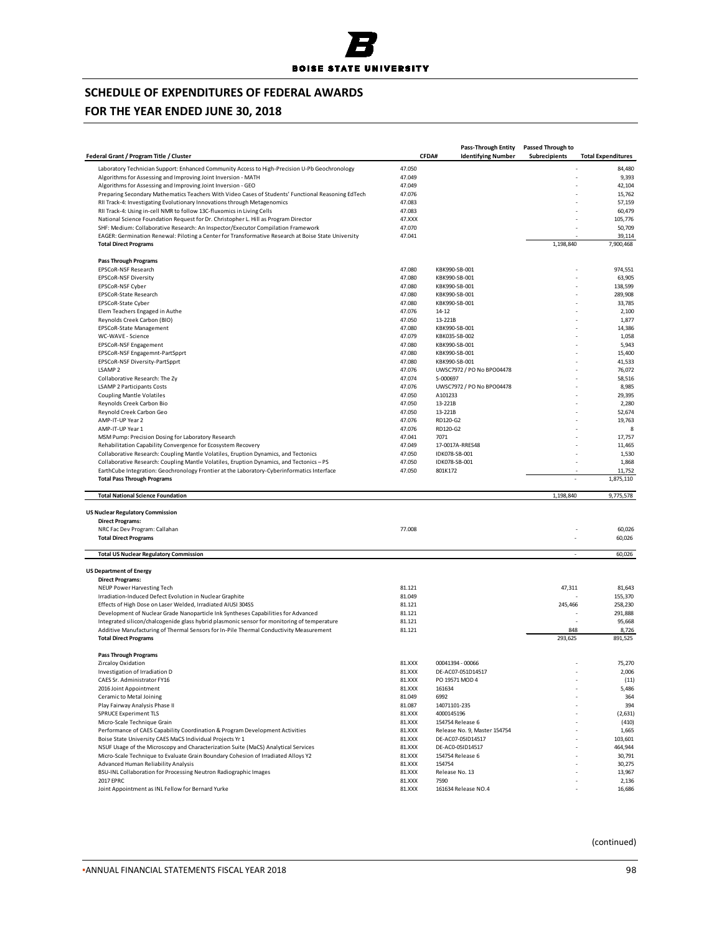

## **FOR THE YEAR ENDED JUNE 30, 2018**

|                                                                                                             |                  | <b>Pass-Through Entity</b>                        | <b>Passed Through to</b> |                           |
|-------------------------------------------------------------------------------------------------------------|------------------|---------------------------------------------------|--------------------------|---------------------------|
| Federal Grant / Program Title / Cluster                                                                     |                  | CFDA#<br><b>Identifying Number</b>                | <b>Subrecipients</b>     | <b>Total Expenditures</b> |
| Laboratory Technician Support: Enhanced Community Access to High-Precision U-Pb Geochronology               | 47.050           |                                                   |                          | 84,480                    |
| Algorithms for Assessing and Improving Joint Inversion - MATH                                               | 47.049           |                                                   |                          | 9,393                     |
| Algorithms for Assessing and Improving Joint Inversion - GEO                                                | 47.049           |                                                   |                          | 42,104                    |
| Preparing Secondary Mathematics Teachers With Video Cases of Students' Functional Reasoning EdTech          | 47.076           |                                                   |                          | 15,762                    |
| RII Track-4: Investigating Evolutionary Innovations through Metagenomics                                    | 47.083           |                                                   |                          | 57,159                    |
| RII Track-4: Using in-cell NMR to follow 13C-fluxomics in Living Cells                                      | 47.083           |                                                   |                          | 60,479                    |
| National Science Foundation Request for Dr. Christopher L. Hill as Program Director                         | 47.XXX           |                                                   |                          | 105,776                   |
| SHF: Medium: Collaborative Research: An Inspector/Executor Compilation Framework                            | 47.070           |                                                   |                          | 50,709                    |
| EAGER: Germination Renewal: Piloting a Center for Transformative Research at Boise State University         | 47.041           |                                                   |                          | 39,114                    |
| <b>Total Direct Programs</b>                                                                                |                  |                                                   | 1,198,840                | 7,900,468                 |
| <b>Pass Through Programs</b>                                                                                |                  |                                                   |                          |                           |
| EPSCoR-NSF Research                                                                                         | 47.080           | KBK990-SB-001                                     |                          | 974,551                   |
| <b>EPSCoR-NSF Diversity</b>                                                                                 | 47.080           | KBK990-SB-001                                     |                          | 63,905                    |
| EPSCoR-NSF Cyber                                                                                            | 47.080           | KBK990-SB-001                                     |                          | 138,599                   |
| EPSCoR-State Research                                                                                       | 47.080           | KBK990-SB-001                                     |                          | 289,908                   |
| EPSCoR-State Cyber                                                                                          | 47.080           | KBK990-SB-001                                     |                          | 33,785                    |
| Elem Teachers Engaged in Authe                                                                              | 47.076           | $14 - 12$                                         |                          | 2,100                     |
| Reynolds Creek Carbon (BIO)                                                                                 | 47.050           | 13-221B                                           |                          | 1,877                     |
| EPSCoR-State Management                                                                                     | 47.080           | KBK990-SB-001                                     |                          | 14,386                    |
| WC-WAVE - Science                                                                                           | 47.079<br>47.080 | KBK035-SB-002                                     |                          | 1,058                     |
| EPSCoR-NSF Engagement                                                                                       |                  | KBK990-SB-001<br>KBK990-SB-001                    |                          | 5,943<br>15,400           |
| EPSCoR-NSF Engagemnt-PartSpprt                                                                              | 47.080           |                                                   |                          |                           |
| EPSCoR-NSF Diversity-PartSpprt                                                                              | 47.080           | KBK990-SB-001<br>UWSC7972 / PO No BPO04478        |                          | 41,533<br>76,072          |
| LSAMP <sub>2</sub><br>Collaborative Research: The Zy                                                        | 47.076<br>47.074 | S-000697                                          |                          | 58,516                    |
| <b>LSAMP 2 Participants Costs</b>                                                                           | 47.076           | UWSC7972 / PO No BPO04478                         |                          | 8,985                     |
| <b>Coupling Mantle Volatiles</b>                                                                            | 47.050           | A101233                                           |                          | 29,395                    |
| Reynolds Creek Carbon Bio                                                                                   | 47.050           | 13-221B                                           |                          | 2,280                     |
| Reynold Creek Carbon Geo                                                                                    | 47.050           | 13-221B                                           |                          | 52,674                    |
| AMP-IT-UP Year 2                                                                                            | 47.076           | RD120-G2                                          |                          | 19,763                    |
| AMP-IT-UP Year 1                                                                                            | 47.076           | RD120-G2                                          |                          | 8                         |
| MSM Pump: Precision Dosing for Laboratory Research                                                          | 47.041           | 7071                                              |                          | 17,757                    |
| Rehabilitation Capability Convergence for Ecosystem Recovery                                                | 47.049           | 17-0017A-RRES48                                   |                          | 11,465                    |
| Collaborative Research: Coupling Mantle Volatiles, Eruption Dynamics, and Tectonics                         | 47.050           | IDK078-SB-001                                     |                          | 1,530                     |
| Collaborative Research: Coupling Mantle Volatiles, Eruption Dynamics, and Tectonics - PS                    | 47.050           | IDK078-SB-001                                     |                          | 1,868                     |
| EarthCube Integration: Geochronology Frontier at the Laboratory-Cyberinformatics Interface                  | 47.050           | 801K172                                           |                          | 11,752                    |
| <b>Total Pass Through Programs</b>                                                                          |                  |                                                   | ÷                        | 1,875,110                 |
| <b>Total National Science Foundation</b>                                                                    |                  |                                                   | 1,198,840                | 9,775,578                 |
| <b>US Nuclear Regulatory Commission</b>                                                                     |                  |                                                   |                          |                           |
| <b>Direct Programs:</b>                                                                                     |                  |                                                   |                          |                           |
| NRC Fac Dev Program: Callahan                                                                               | 77.008           |                                                   |                          | 60,026                    |
| <b>Total Direct Programs</b>                                                                                |                  |                                                   |                          | 60,026                    |
| <b>Total US Nuclear Regulatory Commission</b>                                                               |                  |                                                   | ×.                       | 60,026                    |
|                                                                                                             |                  |                                                   |                          |                           |
| <b>US Department of Energy</b><br><b>Direct Programs:</b>                                                   |                  |                                                   |                          |                           |
| NEUP Power Harvesting Tech                                                                                  | 81.121           |                                                   | 47,311                   | 81,643                    |
| Irradiation-Induced Defect Evolution in Nuclear Graphite                                                    | 81.049           |                                                   |                          | 155,370                   |
| Effects of High Dose on Laser Welded, Irradiated AIUSI 304SS                                                | 81.121           |                                                   | 245,466                  | 258,230                   |
| Development of Nuclear Grade Nanoparticle Ink Syntheses Capabilities for Advanced                           | 81.121           |                                                   |                          | 291,888                   |
| Integrated silicon/chalcogenide glass hybrid plasmonic sensor for monitoring of temperature                 | 81.121           |                                                   |                          | 95,668                    |
| Additive Manufacturing of Thermal Sensors for In-Pile Thermal Conductivity Measurement                      | 81.121           |                                                   | 848                      | 8,726                     |
| <b>Total Direct Programs</b>                                                                                |                  |                                                   | 293,625                  | 891,525                   |
| <b>Pass Through Programs</b>                                                                                |                  |                                                   |                          |                           |
| Zircaloy Oxidation                                                                                          | 81.XXX           | 00041394 - 00066                                  |                          | 75,270                    |
| Investigation of Irradiation D                                                                              | 81.XXX           | DE-AC07-051D14517                                 |                          | 2,006                     |
| CAES Sr. Administrator FY16                                                                                 | 81.XXX           | PO 19571 MOD 4                                    |                          | (11)                      |
| 2016 Joint Appointment                                                                                      | 81.XXX           | 161634                                            |                          | 5,486                     |
| Ceramic to Metal Joining                                                                                    | 81.049           | 6992                                              |                          | 364                       |
| Play Fairway Analysis Phase II                                                                              | 81.087           | 14071101-235                                      |                          | 394                       |
| <b>SPRUCE Experiment TLS</b>                                                                                | 81.XXX           | 4000145196                                        |                          | (2,631)                   |
| Micro-Scale Technique Grain<br>Performance of CAES Capability Coordination & Program Development Activities | 81.XXX           | 154754 Release 6                                  |                          | (410)                     |
| Boise State University CAES MaCS Individual Projects Yr 1                                                   | 81.XXX<br>81.XXX | Release No. 9, Master 154754<br>DE-AC07-05ID14517 |                          | 1,665<br>103,601          |
| NSUF Usage of the Microscopy and Characterization Suite (MaCS) Analytical Services                          | 81.XXX           | DE-AC0-05ID14517                                  |                          | 464,944                   |
| Micro-Scale Technique to Evaluate Grain Boundary Cohesion of Irradiated Alloys Y2                           | 81.XXX           | 154754 Release 6                                  |                          | 30,791                    |
| Advanced Human Reliability Analysis                                                                         | 81.XXX           | 154754                                            |                          | 30,275                    |
| BSU-INL Collaboration for Processing Neutron Radiographic Images                                            | 81.XXX           | Release No. 13                                    |                          | 13,967                    |
| 2017 EPRC                                                                                                   | 81.XXX           | 7590                                              |                          | 2,136                     |
| Joint Appointment as INL Fellow for Bernard Yurke                                                           | 81.XXX           | 161634 Release NO.4                               |                          | 16,686                    |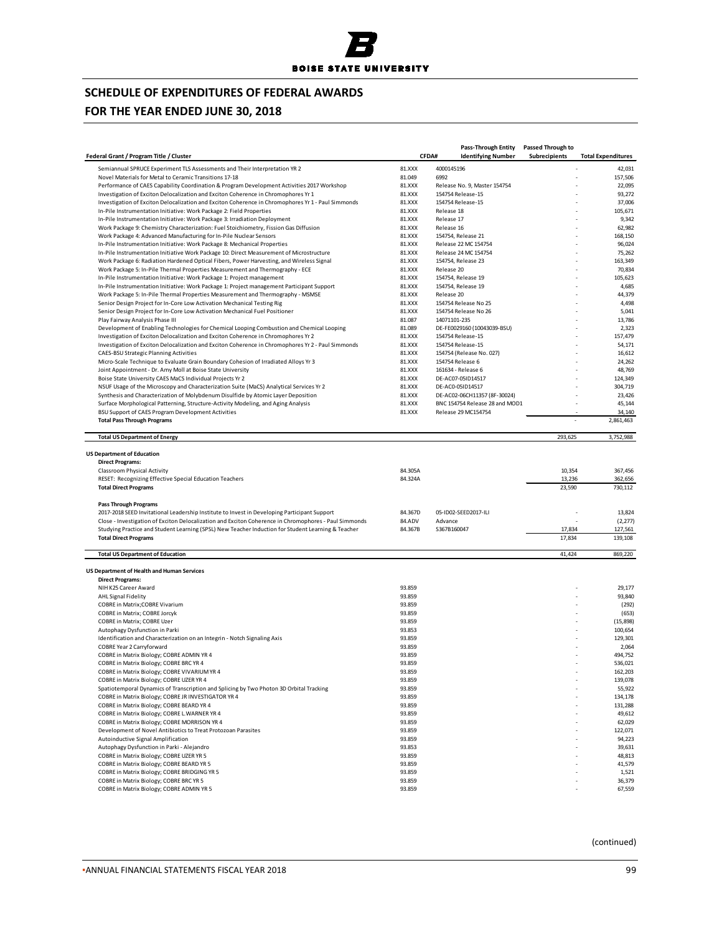## **FOR THE YEAR ENDED JUNE 30, 2018**

|                                                                                                                                                                                                             |                    | <b>Pass-Through Entity</b>                       | <b>Passed Through to</b>   |                               |
|-------------------------------------------------------------------------------------------------------------------------------------------------------------------------------------------------------------|--------------------|--------------------------------------------------|----------------------------|-------------------------------|
| Federal Grant / Program Title / Cluster                                                                                                                                                                     |                    | CFDA#<br><b>Identifying Number</b>               | Subrecipients              | <b>Total Expenditures</b>     |
| Semiannual SPRUCE Experiment TLS Assessments and Their Interpretation YR 2                                                                                                                                  | 81.XXX             | 4000145196                                       |                            | 42,031                        |
| Novel Materials for Metal to Ceramic Transitions 17-18                                                                                                                                                      | 81.049             | 6992                                             | ÷.                         | 157,506                       |
| Performance of CAES Capability Coordination & Program Development Activities 2017 Workshop                                                                                                                  | 81.XXX             | Release No. 9, Master 154754                     |                            | 22,095                        |
| Investigation of Exciton Delocalization and Exciton Coherence in Chromophores Yr 1                                                                                                                          | 81.XXX             | 154754 Release-15                                |                            | 93,272                        |
| Investigation of Exciton Delocalization and Exciton Coherence in Chromophores Yr 1 - Paul Simmonds                                                                                                          | 81.XXX             | 154754 Release-15                                |                            | 37,006                        |
| In-Pile Instrumentation Initiative: Work Package 2: Field Properties                                                                                                                                        | 81.XXX             | Release 18                                       |                            | 105,671                       |
| In-Pile Instrumentation Initiative: Work Package 3: Irradiation Deployment<br>Work Package 9: Chemistry Characterization: Fuel Stoichiometry, Fission Gas Diffusion                                         | 81.XXX<br>81.XXX   | Release 17<br>Release 16                         |                            | 9,342<br>62,982               |
| Work Package 4: Advanced Manufacturing for In-Pile Nuclear Sensors                                                                                                                                          | 81.XXX             | 154754, Release 21                               |                            | 168,150                       |
| In-Pile Instrumentation Initiative: Work Package 8: Mechanical Properties                                                                                                                                   | 81.XXX             | Release 22 MC 154754                             |                            | 96,024                        |
| In-Pile Instrumentation Initiative Work Package 10: Direct Measurement of Microstructure                                                                                                                    | 81.XXX             | Release 24 MC 154754                             |                            | 75,262                        |
| Work Package 6: Radiation Hardened Optical Fibers, Power Harvesting, and Wireless Signal                                                                                                                    | 81.XXX             | 154754, Release 23                               |                            | 163,349                       |
| Work Package 5: In-Pile Thermal Properties Measurement and Thermography - ECE                                                                                                                               | 81.XXX             | Release 20                                       |                            | 70,834                        |
| In-Pile Instrumentation Initiative: Work Package 1: Project management                                                                                                                                      | 81.XXX             | 154754, Release 19                               |                            | 105,623                       |
| In-Pile Instrumentation Initiative: Work Package 1: Project management Participant Support                                                                                                                  | 81.XXX             | 154754, Release 19                               |                            | 4,685                         |
| Work Package 5: In-Pile Thermal Properties Measurement and Thermography - MSMSE                                                                                                                             | 81.XXX             | Release 20                                       |                            | 44,379                        |
| Senior Design Project for In-Core Low Activation Mechanical Testing Rig                                                                                                                                     | 81.XXX             | 154754 Release No 25                             |                            | 4,498                         |
| Senior Design Project for In-Core Low Activation Mechanical Fuel Positioner                                                                                                                                 | 81.XXX             | 154754 Release No 26                             |                            | 5,041                         |
| Play Fairway Analysis Phase III                                                                                                                                                                             | 81.087             | 14071101-235                                     |                            | 13,786                        |
| Development of Enabling Technologies for Chemical Looping Combustion and Chemical Looping                                                                                                                   | 81.089             | DE-FE0029160 (10043039-BSU)                      |                            | 2,323                         |
| Investigation of Exciton Delocalization and Exciton Coherence in Chromophores Yr 2                                                                                                                          | 81.XXX             | 154754 Release-15                                |                            | 157,479                       |
| Investigation of Exciton Delocalization and Exciton Coherence in Chromophores Yr 2 - Paul Simmonds                                                                                                          | 81.XXX             | 154754 Release-15                                |                            | 54,171                        |
| <b>CAES-BSU Strategic Planning Activities</b>                                                                                                                                                               | 81.XXX             | 154754 (Release No. 027)                         |                            | 16,612                        |
| Micro-Scale Technique to Evaluate Grain Boundary Cohesion of Irradiated Alloys Yr 3                                                                                                                         | 81.XXX             | 154754 Release 6                                 |                            | 24,262                        |
| Joint Appointment - Dr. Amy Moll at Boise State University                                                                                                                                                  | 81.XXX             | 161634 - Release 6                               |                            | 48,769                        |
| Boise State University CAES MaCS Individual Projects Yr 2                                                                                                                                                   | 81.XXX             | DE-AC07-05ID14517                                |                            | 124,349                       |
| NSUF Usage of the Microscopy and Characterization Suite (MaCS) Analytical Services Yr 2                                                                                                                     | 81.XXX             | DE-AC0-05ID14517<br>DE-AC02-06CH11357 (8F-30024) |                            | 304,719<br>23,426             |
| Synthesis and Characterization of Molybdenum Disulfide by Atomic Layer Deposition<br>Surface Morphological Patterning, Structure-Activity Modeling, and Aging Analysis                                      | 81.XXX<br>81.XXX   | BNC 154754 Release 28 and MOD1                   | ä,                         | 45,144                        |
| BSU Support of CAES Program Development Activities                                                                                                                                                          | 81.XXX             | Release 29 MC154754                              |                            | 34,140                        |
| <b>Total Pass Through Programs</b>                                                                                                                                                                          |                    |                                                  |                            | 2,861,463                     |
|                                                                                                                                                                                                             |                    |                                                  |                            |                               |
| <b>Total US Department of Energy</b>                                                                                                                                                                        |                    |                                                  | 293,625                    | 3,752,988                     |
| Classroom Physical Activity<br>RESET: Recognizing Effective Special Education Teachers<br><b>Total Direct Programs</b>                                                                                      | 84.305A<br>84.324A |                                                  | 10,354<br>13,236<br>23,590 | 367,456<br>362,656<br>730,112 |
| <b>Pass Through Programs</b>                                                                                                                                                                                |                    |                                                  |                            |                               |
| 2017-2018 SEED Invitational Leadership Institute to Invest in Developing Participant Support                                                                                                                | 84.367D            | 05-ID02-SEED2017-ILI                             |                            | 13,824                        |
| Close - Investigation of Exciton Delocalization and Exciton Coherence in Chromophores - Paul Simmonds<br>Studying Practice and Student Learning (SPSL) New Teacher Induction for Student Learning & Teacher | 84.ADV<br>84.367B  | Advance<br>S367B160047                           | 17,834                     | (2, 277)<br>127,561           |
| <b>Total Direct Programs</b>                                                                                                                                                                                |                    |                                                  | 17,834                     | 139,108                       |
|                                                                                                                                                                                                             |                    |                                                  |                            |                               |
| <b>Total US Department of Education</b>                                                                                                                                                                     |                    |                                                  | 41,424                     | 869,220                       |
| <b>US Department of Health and Human Services</b><br><b>Direct Programs:</b>                                                                                                                                |                    |                                                  |                            |                               |
| NIH K25 Career Award                                                                                                                                                                                        | 93.859             |                                                  |                            | 29,177                        |
| AHL Signal Fidelity                                                                                                                                                                                         | 93.859             |                                                  |                            | 93,840                        |
| COBRE in Matrix; COBRE Vivarium                                                                                                                                                                             | 93.859             |                                                  |                            | (292)                         |
| COBRE in Matrix; COBRE Jorcyk                                                                                                                                                                               | 93.859             |                                                  |                            | (653)                         |
| COBRE in Matrix; COBRE Uzer                                                                                                                                                                                 | 93.859             |                                                  |                            | (15, 898)                     |
| Autophagy Dysfunction in Parki                                                                                                                                                                              | 93.853             |                                                  |                            | 100,654                       |
| Identification and Characterization on an Integrin - Notch Signaling Axis                                                                                                                                   | 93.859             |                                                  |                            | 129,301                       |
| COBRE Year 2 Carryforward                                                                                                                                                                                   | 93.859             |                                                  |                            | 2,064                         |
| COBRE in Matrix Biology; COBRE ADMIN YR 4                                                                                                                                                                   | 93.859             |                                                  |                            | 494,752                       |
| COBRE in Matrix Biology; COBRE BRC YR 4                                                                                                                                                                     | 93.859             |                                                  |                            | 536,021                       |
| COBRE in Matrix Biology; COBRE VIVARIUM YR 4<br>COBRE in Matrix Biology; COBRE UZER YR 4                                                                                                                    | 93.859             |                                                  |                            | 162,203                       |
| Spatiotemporal Dynamics of Transcription and Splicing by Two Photon 3D Orbital Tracking                                                                                                                     | 93.859<br>93.859   |                                                  |                            | 139,078<br>55,922             |
| COBRE in Matrix Biology; COBRE JR INVESTIGATOR YR 4                                                                                                                                                         | 93.859             |                                                  |                            | 134,178                       |
| COBRE in Matrix Biology; COBRE BEARD YR 4                                                                                                                                                                   | 93.859             |                                                  |                            | 131,288                       |
| COBRE in Matrix Biology; COBRE L. WARNER YR 4                                                                                                                                                               | 93.859             |                                                  |                            | 49,612                        |
| COBRE in Matrix Biology; COBRE MORRISON YR 4                                                                                                                                                                | 93.859             |                                                  |                            | 62,029                        |
| Development of Novel Antibiotics to Treat Protozoan Parasites                                                                                                                                               | 93.859             |                                                  |                            | 122,071                       |
| Autoinductive Signal Amplification                                                                                                                                                                          | 93.859             |                                                  |                            | 94,223                        |
| Autophagy Dysfunction in Parki - Alejandro                                                                                                                                                                  | 93.853             |                                                  |                            | 39,631                        |
| COBRE in Matrix Biology; COBRE UZER YR 5                                                                                                                                                                    | 93.859             |                                                  |                            | 48,813                        |
| COBRE in Matrix Biology; COBRE BEARD YR 5                                                                                                                                                                   | 93.859             |                                                  |                            | 41,579                        |
| COBRE in Matrix Biology; COBRE BRIDGING YR 5                                                                                                                                                                | 93.859             |                                                  |                            | 1,521                         |
| COBRE in Matrix Biology; COBRE BRC YR 5                                                                                                                                                                     | 93.859             |                                                  |                            | 36,379                        |
| COBRE in Matrix Biology; COBRE ADMIN YR 5                                                                                                                                                                   | 93.859             |                                                  |                            | 67,559                        |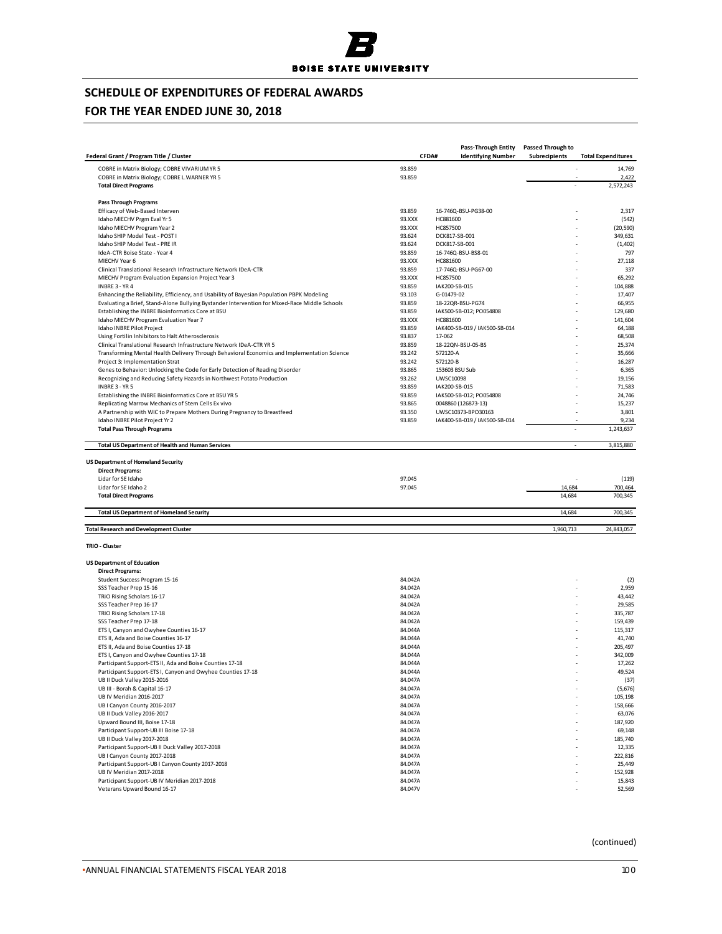

# **FOR THE YEAR ENDED JUNE 30, 2018**

| Federal Grant / Program Title / Cluster                                                                                                                 |                    | <b>Pass-Through Entity</b><br>CFDA#<br><b>Identifying Number</b> | <b>Passed Through to</b><br>Subrecipients | <b>Total Expenditures</b> |
|---------------------------------------------------------------------------------------------------------------------------------------------------------|--------------------|------------------------------------------------------------------|-------------------------------------------|---------------------------|
|                                                                                                                                                         | 93.859             |                                                                  |                                           | 14,769                    |
| COBRE in Matrix Biology; COBRE VIVARIUM YR 5<br>COBRE in Matrix Biology; COBRE L. WARNER YR 5                                                           | 93.859             |                                                                  |                                           | 2,422                     |
| <b>Total Direct Programs</b>                                                                                                                            |                    |                                                                  |                                           | 2,572,243                 |
| <b>Pass Through Programs</b>                                                                                                                            |                    |                                                                  |                                           |                           |
| Efficacy of Web-Based Interven                                                                                                                          | 93.859             | 16-746Q-BSU-PG38-00                                              |                                           | 2,317                     |
| Idaho MIECHV Prgm Eval Yr 5                                                                                                                             | 93.XXX             | HC881600                                                         |                                           | (542)                     |
| Idaho MIECHV Program Year 2                                                                                                                             | 93.XXX             | HC857500                                                         |                                           | (20, 590)                 |
| Idaho SHIP Model Test - POST I                                                                                                                          | 93.624             | DCK817-SB-001                                                    |                                           | 349,631                   |
| Idaho SHIP Model Test - PRE IR                                                                                                                          | 93.624             | DCK817-SB-001                                                    |                                           | (1,402)                   |
| IdeA-CTR Boise State - Year 4                                                                                                                           | 93.859             | 16-746Q-BSU-BS8-01                                               |                                           | 797                       |
| MIECHV Year 6<br>Clinical Translational Research Infrastructure Network IDeA-CTR                                                                        | 93.XXX<br>93.859   | HC881600<br>17-746Q-BSU-PG67-00                                  |                                           | 27,118<br>337             |
| MIECHV Program Evaluation Expansion Project Year 3                                                                                                      | 93.XXX             | HC857500                                                         |                                           | 65,292                    |
| INBRE 3 - YR 4                                                                                                                                          | 93.859             | IAK200-SB-015                                                    |                                           | 104,888                   |
| Enhancing the Reliability, Efficiency, and Usability of Bayesian Population PBPK Modeling                                                               | 93.103             | G-01479-02                                                       |                                           | 17,407                    |
| Evaluating a Brief, Stand-Alone Bullying Bystander Intervention for Mixed-Race Middle Schools                                                           | 93.859             | 18-22QR-BSU-PG74                                                 |                                           | 66,955                    |
| Establishing the INBRE Bioinformatics Core at BSU                                                                                                       | 93.859             | IAK500-SB-012; PO054808                                          |                                           | 129,680                   |
| Idaho MIECHV Program Evaluation Year 7                                                                                                                  | 93.XXX             | HC881600                                                         |                                           | 141,604                   |
| Idaho INBRE Pilot Project                                                                                                                               | 93.859             | IAK400-SB-019 / IAK500-SB-014                                    |                                           | 64,188                    |
| Using Fortilin Inhibitors to Halt Atherosclerosis                                                                                                       | 93.837             | 17-062                                                           |                                           | 68,508                    |
| Clinical Translational Research Infrastructure Network IDeA-CTR YR 5                                                                                    | 93.859             | 18-22QN-BSU-05-BS                                                |                                           | 25,374                    |
| Transforming Mental Health Delivery Through Behavioral Economics and Implementation Science                                                             | 93.242             | 572120-A                                                         |                                           | 35,666                    |
| Project 3: Implementation Strat                                                                                                                         | 93.242             | 572120-B                                                         |                                           | 16,287                    |
| Genes to Behavior: Unlocking the Code for Early Detection of Reading Disorder<br>Recognizing and Reducing Safety Hazards in Northwest Potato Production | 93.865             | 153603 BSU Sub<br><b>UWSC10098</b>                               |                                           | 6,365                     |
| INBRE 3 - YR 5                                                                                                                                          | 93.262<br>93.859   | IAK200-SB-015                                                    |                                           | 19,156<br>71,583          |
| Establishing the INBRE Bioinformatics Core at BSU YR 5                                                                                                  | 93.859             | IAK500-SB-012; PO054808                                          |                                           | 24,746                    |
| Replicating Marrow Mechanics of Stem Cells Ex vivo                                                                                                      | 93.865             | 0048860 (126873-13)                                              |                                           | 15,237                    |
| A Partnership with WIC to Prepare Mothers During Pregnancy to Breastfeed                                                                                | 93.350             | UWSC10373-BPO30163                                               |                                           | 3,801                     |
| Idaho INBRE Pilot Project Yr 2                                                                                                                          | 93.859             | IAK400-SB-019 / IAK500-SB-014                                    |                                           | 9,234                     |
| <b>Total Pass Through Programs</b>                                                                                                                      |                    |                                                                  |                                           | 1,243,637                 |
| <b>Total US Department of Health and Human Services</b>                                                                                                 |                    |                                                                  |                                           | 3,815,880<br>$\sim$       |
| <b>US Department of Homeland Security</b>                                                                                                               |                    |                                                                  |                                           |                           |
| <b>Direct Programs:</b>                                                                                                                                 |                    |                                                                  |                                           |                           |
| Lidar for SE Idaho                                                                                                                                      | 97.045             |                                                                  |                                           | (119)                     |
| Lidar for SE Idaho 2                                                                                                                                    | 97.045             |                                                                  | 14,684                                    | 700,464                   |
| <b>Total Direct Programs</b>                                                                                                                            |                    |                                                                  | 14,684                                    | 700,345                   |
| <b>Total US Department of Homeland Security</b>                                                                                                         |                    |                                                                  | 14,684                                    | 700,345                   |
| <b>Total Research and Development Cluster</b>                                                                                                           |                    |                                                                  | 1,960,713                                 | 24,843,057                |
| TRIO - Cluster                                                                                                                                          |                    |                                                                  |                                           |                           |
| <b>US Department of Education</b>                                                                                                                       |                    |                                                                  |                                           |                           |
| <b>Direct Programs:</b>                                                                                                                                 |                    |                                                                  |                                           |                           |
| Student Success Program 15-16                                                                                                                           | 84.042A            |                                                                  |                                           | (2)                       |
| SSS Teacher Prep 15-16                                                                                                                                  | 84.042A            |                                                                  |                                           | 2,959                     |
| TRIO Rising Scholars 16-17                                                                                                                              | 84.042A            |                                                                  |                                           | 43,442                    |
| SSS Teacher Prep 16-17                                                                                                                                  | 84.042A            |                                                                  |                                           | 29,585                    |
| TRIO Rising Scholars 17-18<br>SSS Teacher Prep 17-18                                                                                                    | 84.042A<br>84.042A |                                                                  |                                           | 335,787<br>159,439        |
| ETS I, Canyon and Owyhee Counties 16-17                                                                                                                 | 84.044A            |                                                                  |                                           | 115,317                   |
| ETS II, Ada and Boise Counties 16-17                                                                                                                    | 84.044A            |                                                                  |                                           | 41,740                    |
| ETS II, Ada and Boise Counties 17-18                                                                                                                    | 84.044A            |                                                                  |                                           | 205,497                   |
| ETS I, Canyon and Owyhee Counties 17-18                                                                                                                 | 84.044A            |                                                                  |                                           | 342,009                   |
| Participant Support-ETS II, Ada and Boise Counties 17-18                                                                                                | 84.044A            |                                                                  |                                           | 17,262                    |
| Participant Support-ETS I, Canyon and Owyhee Counties 17-18                                                                                             | 84.044A            |                                                                  |                                           | 49,524                    |
| UB II Duck Valley 2015-2016                                                                                                                             | 84.047A            |                                                                  |                                           | (37)                      |
| UB III - Borah & Capital 16-17                                                                                                                          | 84.047A            |                                                                  |                                           | (5,676)                   |
| UB IV Meridian 2016-2017                                                                                                                                | 84.047A            |                                                                  |                                           | 105,198                   |
| UB I Canyon County 2016-2017                                                                                                                            | 84.047A            |                                                                  |                                           | 158,666                   |
| UB II Duck Valley 2016-2017                                                                                                                             | 84.047A            |                                                                  |                                           | 63,076                    |
| Upward Bound III, Boise 17-18                                                                                                                           | 84.047A            |                                                                  |                                           | 187,920                   |
| Participant Support-UB III Boise 17-18                                                                                                                  | 84.047A            |                                                                  |                                           | 69,148                    |
| UB II Duck Valley 2017-2018                                                                                                                             | 84.047A            |                                                                  |                                           | 185,740<br>12,335         |
| Participant Support-UB II Duck Valley 2017-2018<br>UB I Canyon County 2017-2018                                                                         | 84.047A<br>84.047A |                                                                  |                                           | 222,816                   |
| Participant Support-UB I Canyon County 2017-2018                                                                                                        | 84.047A            |                                                                  |                                           | 25,449                    |
| UB IV Meridian 2017-2018                                                                                                                                | 84.047A            |                                                                  |                                           | 152,928                   |
| Participant Support-UB IV Meridian 2017-2018                                                                                                            | 84.047A            |                                                                  |                                           | 15,843                    |
| Veterans Upward Bound 16-17                                                                                                                             | 84.047V            |                                                                  |                                           | 52,569                    |
|                                                                                                                                                         |                    |                                                                  |                                           |                           |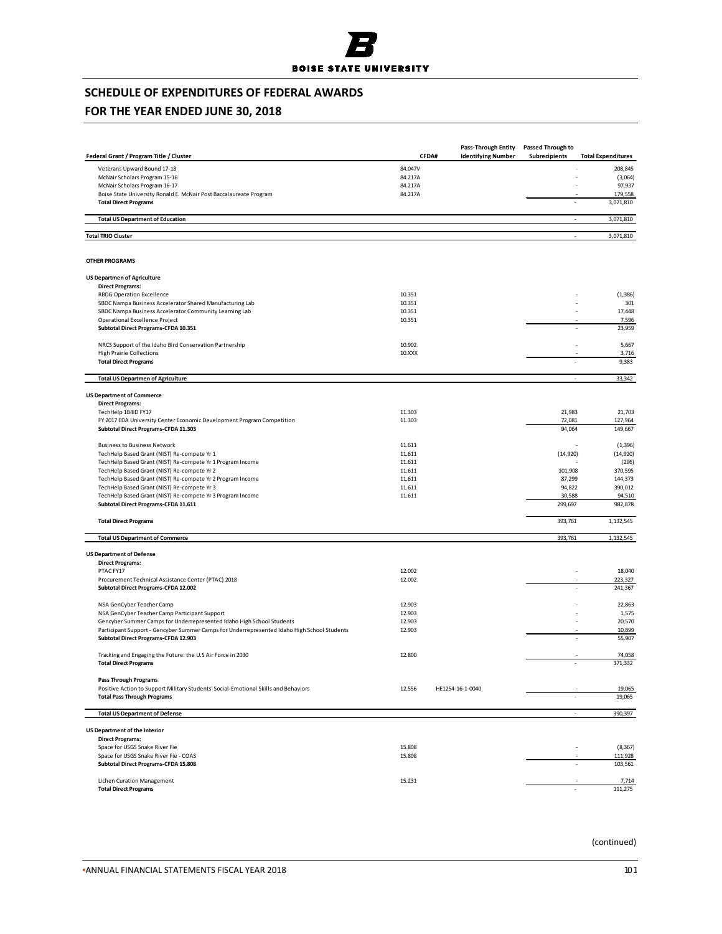

## **FOR THE YEAR ENDED JUNE 30, 2018**

| Federal Grant / Program Title / Cluster                                                     | CFDA#   | Pass-Through Entity<br><b>Identifying Number</b> | Passed Through to<br>Subrecipients | <b>Total Expenditures</b> |
|---------------------------------------------------------------------------------------------|---------|--------------------------------------------------|------------------------------------|---------------------------|
|                                                                                             | 84.047V |                                                  |                                    |                           |
| Veterans Upward Bound 17-18                                                                 |         |                                                  |                                    | 208,845                   |
| McNair Scholars Program 15-16                                                               | 84.217A |                                                  |                                    | (3,064)                   |
| McNair Scholars Program 16-17                                                               | 84.217A |                                                  |                                    | 97,937                    |
| Boise State University Ronald E. McNair Post Baccalaureate Program                          | 84.217A |                                                  |                                    | 179,558                   |
| <b>Total Direct Programs</b>                                                                |         |                                                  |                                    | 3,071,810                 |
| <b>Total US Department of Education</b>                                                     |         |                                                  | $\overline{a}$                     | 3,071,810                 |
| <b>Total TRIO Cluster</b>                                                                   |         |                                                  | ×.                                 | 3,071,810                 |
| <b>OTHER PROGRAMS</b>                                                                       |         |                                                  |                                    |                           |
| <b>US Departmen of Agriculture</b>                                                          |         |                                                  |                                    |                           |
| <b>Direct Programs:</b>                                                                     |         |                                                  |                                    |                           |
| <b>RBDG Operation Excellence</b>                                                            | 10.351  |                                                  |                                    | (1, 386)                  |
| SBDC Nampa Business Accelerator Shared Manufacturing Lab                                    | 10.351  |                                                  |                                    | 301                       |
| SBDC Nampa Business Accelerator Community Learning Lab                                      | 10.351  |                                                  |                                    | 17,448                    |
| Operational Excellence Project                                                              | 10.351  |                                                  |                                    | 7,596                     |
| Subtotal Direct Programs-CFDA 10.351                                                        |         |                                                  | ÷,                                 | 23,959                    |
| NRCS Support of the Idaho Bird Conservation Partnership                                     | 10.902  |                                                  |                                    | 5,667                     |
| <b>High Prairie Collections</b>                                                             | 10.XXX  |                                                  |                                    | 3,716                     |
| <b>Total Direct Programs</b>                                                                |         |                                                  |                                    | 9,383                     |
| <b>Total US Departmen of Agriculture</b>                                                    |         |                                                  | ä,                                 | 33,342                    |
|                                                                                             |         |                                                  |                                    |                           |
| <b>US Department of Commerce</b><br><b>Direct Programs:</b>                                 |         |                                                  |                                    |                           |
| TechHelp 1B4ID FY17                                                                         | 11.303  |                                                  | 21,983                             | 21,703                    |
| FY 2017 EDA University Center Economic Development Program Competition                      | 11.303  |                                                  | 72,081                             | 127,964                   |
| Subtotal Direct Programs-CFDA 11.303                                                        |         |                                                  | 94,064                             | 149,667                   |
| <b>Business to Business Network</b>                                                         | 11.611  |                                                  |                                    | (1, 396)                  |
| TechHelp Based Grant (NIST) Re-compete Yr 1                                                 | 11.611  |                                                  | (14, 920)                          | (14, 920)                 |
| TechHelp Based Grant (NIST) Re-compete Yr 1 Program Income                                  | 11.611  |                                                  |                                    | (296)                     |
| TechHelp Based Grant (NIST) Re-compete Yr 2                                                 | 11.611  |                                                  | 101,908                            | 370,595                   |
| TechHelp Based Grant (NIST) Re-compete Yr 2 Program Income                                  | 11.611  |                                                  | 87,299                             | 144,373                   |
| TechHelp Based Grant (NIST) Re-compete Yr 3                                                 | 11.611  |                                                  | 94,822                             | 390,012                   |
| TechHelp Based Grant (NIST) Re-compete Yr 3 Program Income                                  | 11.611  |                                                  | 30,588                             | 94,510                    |
| Subtotal Direct Programs-CFDA 11.611                                                        |         |                                                  | 299,697                            | 982,878                   |
| <b>Total Direct Programs</b>                                                                |         |                                                  | 393,761                            | 1,132,545                 |
| <b>Total US Department of Commerce</b>                                                      |         |                                                  | 393,761                            | 1,132,545                 |
|                                                                                             |         |                                                  |                                    |                           |
| <b>US Department of Defense</b><br><b>Direct Programs:</b>                                  |         |                                                  |                                    |                           |
|                                                                                             |         |                                                  | ä,                                 |                           |
| PTAC FY17                                                                                   | 12.002  |                                                  |                                    | 18,040                    |
| Procurement Technical Assistance Center (PTAC) 2018<br>Subtotal Direct Programs-CFDA 12.002 | 12.002  |                                                  |                                    | 223,327<br>241,367        |
| NSA GenCyber Teacher Camp                                                                   | 12.903  |                                                  |                                    | 22,863                    |
| NSA GenCyber Teacher Camp Participant Support                                               | 12.903  |                                                  |                                    | 1,575                     |
| Gencyber Summer Camps for Underrepresented Idaho High School Students                       | 12.903  |                                                  |                                    | 20,570                    |
| Participant Support - Gencyber Summer Camps for Underrepresented Idaho High School Students | 12.903  |                                                  |                                    | 10,899                    |
| Subtotal Direct Programs-CFDA 12.903                                                        |         |                                                  |                                    | 55,907                    |
| Tracking and Engaging the Future: the U.S Air Force in 2030                                 | 12.800  |                                                  |                                    | 74,058                    |
| <b>Total Direct Programs</b>                                                                |         |                                                  | ä,                                 | 371,332                   |
| <b>Pass Through Programs</b>                                                                |         |                                                  |                                    |                           |
| Positive Action to Support Military Students' Social-Emotional Skills and Behaviors         | 12.556  | HE1254-16-1-0040                                 |                                    | 19,065                    |
| <b>Total Pass Through Programs</b>                                                          |         |                                                  |                                    | 19,065                    |
| <b>Total US Department of Defense</b>                                                       |         |                                                  | ä,                                 | 390,397                   |
| <b>US Department of the Interior</b>                                                        |         |                                                  |                                    |                           |
| <b>Direct Programs:</b>                                                                     |         |                                                  |                                    |                           |
| Space for USGS Snake River Fie                                                              | 15.808  |                                                  | ä,                                 | (8, 367)                  |
| Space for USGS Snake River Fie - COAS                                                       | 15.808  |                                                  |                                    | 111,928                   |
| Subtotal Direct Programs-CFDA 15.808                                                        |         |                                                  |                                    | 103,561                   |
|                                                                                             |         |                                                  |                                    |                           |
| Lichen Curation Management                                                                  | 15.231  |                                                  |                                    | 7,714                     |
| <b>Total Direct Programs</b>                                                                |         |                                                  |                                    | 111,275                   |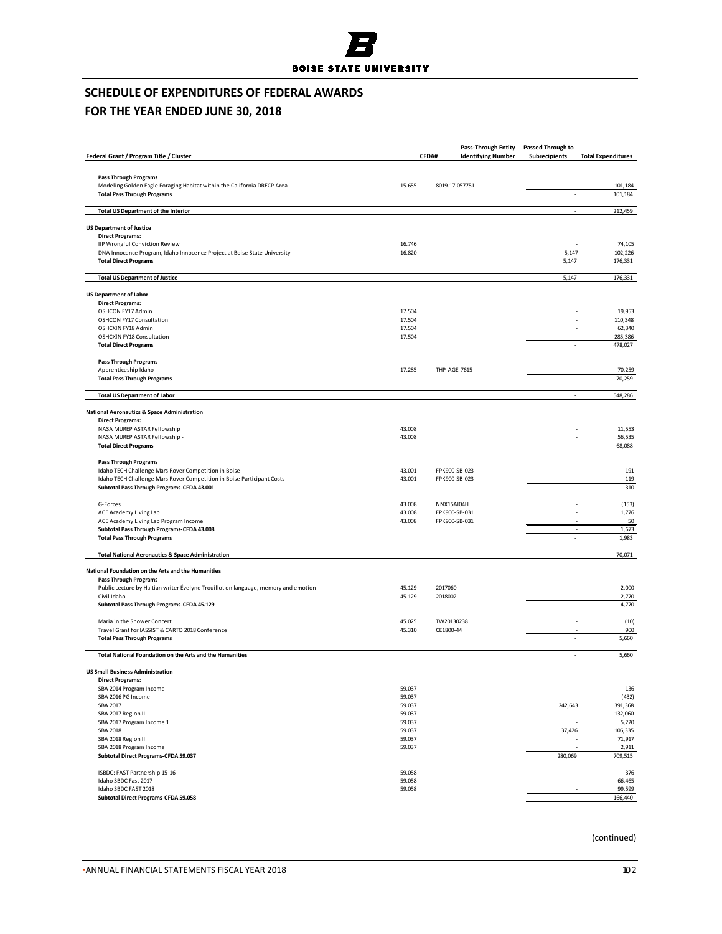

## **FOR THE YEAR ENDED JUNE 30, 2018**

|                                                                                                         |                  |                | <b>Pass-Through Entity</b> | Passed Through to        |                           |
|---------------------------------------------------------------------------------------------------------|------------------|----------------|----------------------------|--------------------------|---------------------------|
| Federal Grant / Program Title / Cluster                                                                 |                  | CFDA#          | <b>Identifying Number</b>  | Subrecipients            | <b>Total Expenditures</b> |
|                                                                                                         |                  |                |                            |                          |                           |
| <b>Pass Through Programs</b><br>Modeling Golden Eagle Foraging Habitat within the California DRECP Area | 15.655           | 8019.17.057751 |                            |                          | 101,184                   |
| <b>Total Pass Through Programs</b>                                                                      |                  |                |                            |                          | 101,184                   |
|                                                                                                         |                  |                |                            |                          |                           |
| <b>Total US Department of the Interior</b>                                                              |                  |                |                            | ÷,                       | 212,459                   |
| <b>US Department of Justice</b>                                                                         |                  |                |                            |                          |                           |
| <b>Direct Programs:</b><br>IIP Wrongful Conviction Review                                               | 16.746           |                |                            |                          | 74,105                    |
| DNA Innocence Program, Idaho Innocence Project at Boise State University                                | 16.820           |                |                            | 5,147                    | 102,226                   |
| <b>Total Direct Programs</b>                                                                            |                  |                |                            | 5,147                    | 176,331                   |
| <b>Total US Department of Justice</b>                                                                   |                  |                |                            | 5,147                    | 176,331                   |
| <b>US Department of Labor</b>                                                                           |                  |                |                            |                          |                           |
| <b>Direct Programs:</b>                                                                                 |                  |                |                            |                          |                           |
| OSHCON FY17 Admin                                                                                       | 17.504           |                |                            |                          | 19,953                    |
| <b>OSHCON FY17 Consultation</b>                                                                         | 17.504           |                |                            |                          | 110,348                   |
| OSHCXIN FY18 Admin<br>OSHCXIN FY18 Consultation                                                         | 17.504<br>17.504 |                |                            |                          | 62,340<br>285,386         |
| <b>Total Direct Programs</b>                                                                            |                  |                |                            |                          | 478,027                   |
| <b>Pass Through Programs</b>                                                                            |                  |                |                            |                          |                           |
| Apprenticeship Idaho                                                                                    | 17.285           | THP-AGE-7615   |                            |                          | 70,259                    |
| <b>Total Pass Through Programs</b>                                                                      |                  |                |                            |                          | 70,259                    |
| <b>Total US Department of Labor</b>                                                                     |                  |                |                            | ×,                       | 548,286                   |
| <b>National Aeronautics &amp; Space Administration</b>                                                  |                  |                |                            |                          |                           |
| <b>Direct Programs:</b>                                                                                 |                  |                |                            |                          |                           |
| NASA MUREP ASTAR Fellowship                                                                             | 43.008           |                |                            |                          | 11,553                    |
| NASA MUREP ASTAR Fellowship -                                                                           | 43.008           |                |                            |                          | 56,535                    |
| <b>Total Direct Programs</b>                                                                            |                  |                |                            |                          | 68,088                    |
| <b>Pass Through Programs</b>                                                                            |                  |                |                            |                          |                           |
| Idaho TECH Challenge Mars Rover Competition in Boise                                                    | 43.001           | FPK900-SB-023  |                            |                          | 191                       |
| Idaho TECH Challenge Mars Rover Competition in Boise Participant Costs                                  | 43.001           | FPK900-SB-023  |                            |                          | 119                       |
| Subtotal Pass Through Programs-CFDA 43.001                                                              |                  |                |                            |                          | 310                       |
| G-Forces                                                                                                | 43.008           | NNX15AI04H     |                            |                          | (153)                     |
| ACE Academy Living Lab                                                                                  | 43.008           | FPK900-SB-031  |                            |                          | 1,776                     |
| ACE Academy Living Lab Program Income<br>Subtotal Pass Through Programs-CFDA 43.008                     | 43.008           | FPK900-SB-031  |                            | $\overline{\phantom{a}}$ | 50<br>1,673               |
| <b>Total Pass Through Programs</b>                                                                      |                  |                |                            |                          | 1,983                     |
| <b>Total National Aeronautics &amp; Space Administration</b>                                            |                  |                |                            | $\overline{\phantom{a}}$ | 70,071                    |
|                                                                                                         |                  |                |                            |                          |                           |
| National Foundation on the Arts and the Humanities<br><b>Pass Through Programs</b>                      |                  |                |                            |                          |                           |
| Public Lecture by Haitian writer Évelyne Trouillot on language, memory and emotion                      | 45.129           | 2017060        |                            |                          | 2,000                     |
| Civil Idaho                                                                                             | 45.129           | 2018002        |                            |                          | 2,770                     |
| Subtotal Pass Through Programs-CFDA 45.129                                                              |                  |                |                            |                          | 4,770                     |
| Maria in the Shower Concert                                                                             | 45.025           | TW20130238     |                            |                          | (10)                      |
| Travel Grant for IASSIST & CARTO 2018 Conference                                                        | 45.310           | CE1800-44      |                            |                          | 900                       |
| <b>Total Pass Through Programs</b>                                                                      |                  |                |                            |                          | 5,660                     |
| Total National Foundation on the Arts and the Humanities                                                |                  |                |                            | L.                       | 5,660                     |
| <b>US Small Business Administration</b>                                                                 |                  |                |                            |                          |                           |
| <b>Direct Programs:</b>                                                                                 |                  |                |                            |                          |                           |
| SBA 2014 Program Income                                                                                 | 59.037           |                |                            |                          | 136                       |
| SBA 2016 PG Income<br>SBA 2017                                                                          | 59.037<br>59.037 |                |                            | 242,643                  | (432)<br>391,368          |
| SBA 2017 Region III                                                                                     | 59.037           |                |                            |                          | 132,060                   |
| SBA 2017 Program Income 1                                                                               | 59.037           |                |                            |                          | 5,220                     |
| <b>SBA 2018</b>                                                                                         | 59.037           |                |                            | 37,426                   | 106,335                   |
| SBA 2018 Region III                                                                                     | 59.037           |                |                            |                          | 71,917                    |
| SBA 2018 Program Income<br>Subtotal Direct Programs-CFDA 59.037                                         | 59.037           |                |                            | 280,069                  | 2,911<br>709,515          |
|                                                                                                         |                  |                |                            |                          |                           |
| ISBDC: FAST Partnership 15-16<br>Idaho SBDC Fast 2017                                                   | 59.058<br>59.058 |                |                            |                          | 376<br>66,465             |
| Idaho SBDC FAST 2018                                                                                    | 59.058           |                |                            |                          | 99,599                    |
| <b>Subtotal Direct Programs-CFDA 59.058</b>                                                             |                  |                |                            | t,                       | 166,440                   |
|                                                                                                         |                  |                |                            |                          |                           |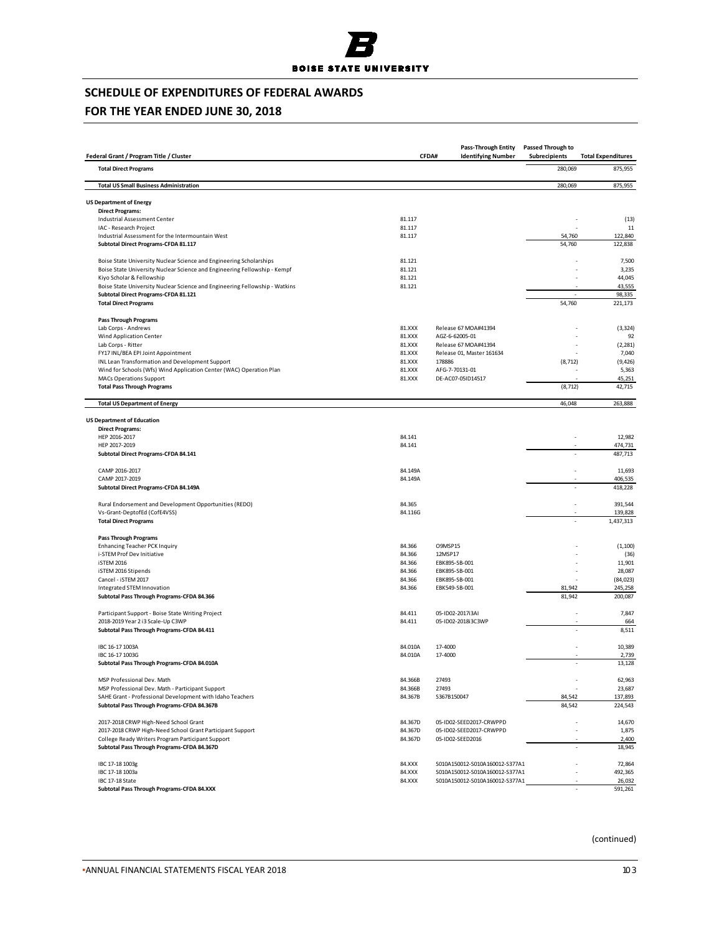

## **FOR THE YEAR ENDED JUNE 30, 2018**

| Federal Grant / Program Title / Cluster                                                                        |                    | Pass-Through Entity<br>CFDA#<br><b>Identifying Number</b>        | Passed Through to<br>Subrecipients | <b>Total Expenditures</b> |
|----------------------------------------------------------------------------------------------------------------|--------------------|------------------------------------------------------------------|------------------------------------|---------------------------|
| <b>Total Direct Programs</b>                                                                                   |                    |                                                                  | 280,069                            | 875,955                   |
| <b>Total US Small Business Administration</b>                                                                  |                    |                                                                  | 280,069                            | 875,955                   |
|                                                                                                                |                    |                                                                  |                                    |                           |
| <b>US Department of Energy</b><br><b>Direct Programs:</b>                                                      |                    |                                                                  |                                    |                           |
| Industrial Assessment Center                                                                                   | 81.117             |                                                                  |                                    | (13)                      |
| IAC - Research Project                                                                                         | 81.117             |                                                                  |                                    | 11                        |
| Industrial Assessment for the Intermountain West                                                               | 81.117             |                                                                  | 54,760                             | 122,840                   |
| Subtotal Direct Programs-CFDA 81.117                                                                           |                    |                                                                  | 54,760                             | 122,838                   |
| Boise State University Nuclear Science and Engineering Scholarships                                            | 81.121             |                                                                  |                                    | 7,500                     |
| Boise State University Nuclear Science and Engineering Fellowship - Kempf                                      | 81.121             |                                                                  |                                    | 3,235                     |
| Kiyo Scholar & Fellowship                                                                                      | 81.121             |                                                                  |                                    | 44,045                    |
| Boise State University Nuclear Science and Engineering Fellowship - Watkins                                    | 81.121             |                                                                  |                                    | 43,555                    |
| Subtotal Direct Programs-CFDA 81.121<br><b>Total Direct Programs</b>                                           |                    |                                                                  | 54,760                             | 98,335<br>221,173         |
|                                                                                                                |                    |                                                                  |                                    |                           |
| <b>Pass Through Programs</b>                                                                                   | 81.XXX             |                                                                  |                                    |                           |
| Lab Corps - Andrews<br>Wind Application Center                                                                 | 81.XXX             | Release 67 MOA#41394<br>AGZ-6-62005-01                           |                                    | (3, 324)<br>92            |
| Lab Corps - Ritter                                                                                             | 81.XXX             | Release 67 MOA#41394                                             |                                    | (2, 281)                  |
| FY17 INL/BEA EPI Joint Appointment                                                                             | 81.XXX             | Release 01, Master 161634                                        |                                    | 7,040                     |
| INL Lean Transformation and Development Support                                                                | 81.XXX             | 178886                                                           | (8, 712)                           | (9, 426)                  |
| Wind for Schools (Wfs) Wind Application Center (WAC) Operation Plan                                            | 81.XXX             | AFG-7-70131-01                                                   |                                    | 5,363                     |
| <b>MACs Operations Support</b>                                                                                 | 81.XXX             | DE-AC07-05ID14517                                                |                                    | 45,251                    |
| <b>Total Pass Through Programs</b>                                                                             |                    |                                                                  | (8, 712)                           | 42,715                    |
| <b>Total US Department of Energy</b>                                                                           |                    |                                                                  | 46,048                             | 263,888                   |
|                                                                                                                |                    |                                                                  |                                    |                           |
| <b>US Department of Education</b><br><b>Direct Programs:</b>                                                   |                    |                                                                  |                                    |                           |
| HEP 2016-2017                                                                                                  | 84.141             |                                                                  |                                    | 12,982                    |
| HEP 2017-2019                                                                                                  | 84.141             |                                                                  |                                    | 474,731                   |
| Subtotal Direct Programs-CFDA 84.141                                                                           |                    |                                                                  |                                    | 487,713                   |
| CAMP 2016-2017                                                                                                 | 84.149A            |                                                                  |                                    | 11,693                    |
| CAMP 2017-2019                                                                                                 | 84.149A            |                                                                  |                                    | 406,535                   |
| Subtotal Direct Programs-CFDA 84.149A                                                                          |                    |                                                                  |                                    | 418,228                   |
| Rural Endorsement and Development Opportunities (REDO)                                                         | 84.365             |                                                                  |                                    | 391,544                   |
| Vs-Grant-DeptofEd (CofE4VSS)                                                                                   | 84.116G            |                                                                  |                                    | 139,828                   |
| <b>Total Direct Programs</b>                                                                                   |                    |                                                                  |                                    | 1,437,313                 |
| <b>Pass Through Programs</b>                                                                                   |                    |                                                                  |                                    |                           |
| <b>Enhancing Teacher PCK Inquiry</b>                                                                           | 84.366             | O9MSP15                                                          |                                    | (1, 100)                  |
| i-STEM Prof Dev Initiative                                                                                     | 84.366             | 12MSP17                                                          |                                    | (36)                      |
| iSTEM 2016                                                                                                     | 84.366             | EBK895-SB-001                                                    |                                    | 11,901                    |
| iSTEM 2016 Stipends                                                                                            | 84.366             | EBK895-SB-001                                                    |                                    | 28,087                    |
| Cancel - iSTEM 2017                                                                                            | 84.366             | EBK895-SB-001                                                    |                                    | (84, 023)                 |
| Integrated STEM Innovation<br>Subtotal Pass Through Programs-CFDA 84.366                                       | 84.366             | EBK549-SB-001                                                    | 81,942<br>81,942                   | 245,258<br>200,087        |
|                                                                                                                |                    |                                                                  |                                    |                           |
| Participant Support - Boise State Writing Project<br>2018-2019 Year 2 i3 Scale-Up C3WP                         | 84.411<br>84.411   | 05-ID02-2017i3AI<br>05-ID02-2018i3C3WP                           |                                    | 7,847<br>664              |
| Subtotal Pass Through Programs-CFDA 84.411                                                                     |                    |                                                                  |                                    | 8,511                     |
|                                                                                                                |                    |                                                                  |                                    |                           |
| IBC 16-17 1003A<br>IBC 16-17 1003G                                                                             | 84.010A            | 17-4000<br>17-4000                                               |                                    | 10,389                    |
| Subtotal Pass Through Programs-CFDA 84.010A                                                                    | 84.010A            |                                                                  |                                    | 2,739<br>13,128           |
|                                                                                                                |                    |                                                                  |                                    |                           |
| MSP Professional Dev. Math                                                                                     | 84.366B            | 27493<br>27493                                                   |                                    | 62,963                    |
| MSP Professional Dev. Math - Participant Support<br>SAHE Grant - Professional Development with Idaho Teachers  | 84.366B<br>84.367B | S367B150047                                                      | 84,542                             | 23,687                    |
| Subtotal Pass Through Programs-CFDA 84.367B                                                                    |                    |                                                                  | 84,542                             | 137,893<br>224,543        |
|                                                                                                                |                    |                                                                  |                                    |                           |
| 2017-2018 CRWP High-Need School Grant                                                                          | 84.367D            | 05-ID02-SEED2017-CRWPPD                                          |                                    | 14,670                    |
| 2017-2018 CRWP High-Need School Grant Participant Support<br>College Ready Writers Program Participant Support | 84.367D<br>84.367D | 05-ID02-SEED2017-CRWPPD<br>05-ID02-SEED2016                      |                                    | 1,875<br>2,400            |
| Subtotal Pass Through Programs-CFDA 84.367D                                                                    |                    |                                                                  |                                    | 18,945                    |
|                                                                                                                |                    |                                                                  |                                    |                           |
| IBC 17-18 1003g<br>IBC 17-18 1003a                                                                             | 84.XXX<br>84.XXX   | S010A150012-S010A160012-S377A1<br>S010A150012-S010A160012-S377A1 |                                    | 72,864<br>492,365         |
| IBC 17-18 State                                                                                                | 84.XXX             | S010A150012-S010A160012-S377A1                                   |                                    | 26,032                    |
| Subtotal Pass Through Programs-CFDA 84.XXX                                                                     |                    |                                                                  |                                    | 591,261                   |